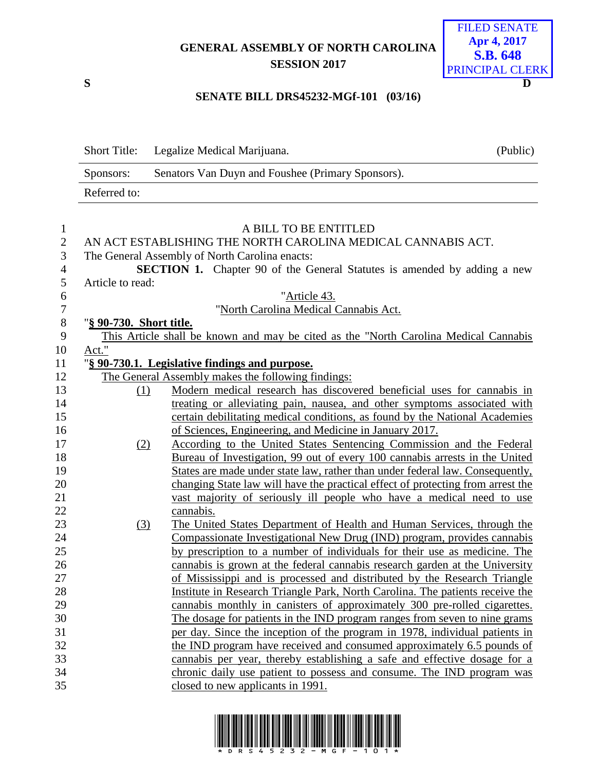## **GENERAL ASSEMBLY OF NORTH CAROLINA SESSION 2017**



#### **SENATE BILL DRS45232-MGf-101 (03/16)**

|                  | <b>Short Title:</b>     | Legalize Medical Marijuana.                                                           | (Public) |
|------------------|-------------------------|---------------------------------------------------------------------------------------|----------|
|                  | Sponsors:               | Senators Van Duyn and Foushee (Primary Sponsors).                                     |          |
|                  | Referred to:            |                                                                                       |          |
|                  |                         |                                                                                       |          |
| $\mathbf{1}$     |                         | A BILL TO BE ENTITLED                                                                 |          |
| $\overline{2}$   |                         | AN ACT ESTABLISHING THE NORTH CAROLINA MEDICAL CANNABIS ACT.                          |          |
| 3                |                         | The General Assembly of North Carolina enacts:                                        |          |
| $\overline{4}$   |                         | <b>SECTION 1.</b> Chapter 90 of the General Statutes is amended by adding a new       |          |
| $\mathfrak{S}$   | Article to read:        |                                                                                       |          |
| 6                |                         | "Article 43.                                                                          |          |
| $\boldsymbol{7}$ |                         | "North Carolina Medical Cannabis Act.                                                 |          |
| $8\,$            | "§ 90-730. Short title. |                                                                                       |          |
| 9                |                         | This Article shall be known and may be cited as the "North Carolina Medical Cannabis" |          |
| 10               | Act."                   |                                                                                       |          |
| 11               |                         | "§ 90-730.1. Legislative findings and purpose.                                        |          |
| 12               |                         | The General Assembly makes the following findings:                                    |          |
| 13               | (1)                     | Modern medical research has discovered beneficial uses for cannabis in                |          |
| 14               |                         | treating or alleviating pain, nausea, and other symptoms associated with              |          |
| 15               |                         | certain debilitating medical conditions, as found by the National Academies           |          |
| 16               |                         | of Sciences, Engineering, and Medicine in January 2017.                               |          |
| 17               | (2)                     | According to the United States Sentencing Commission and the Federal                  |          |
| 18               |                         | Bureau of Investigation, 99 out of every 100 cannabis arrests in the United           |          |
| 19               |                         | States are made under state law, rather than under federal law. Consequently,         |          |
| 20               |                         | changing State law will have the practical effect of protecting from arrest the       |          |
| 21               |                         | vast majority of seriously ill people who have a medical need to use                  |          |
| 22               |                         | cannabis.                                                                             |          |
| 23               | (3)                     | The United States Department of Health and Human Services, through the                |          |
| 24               |                         | Compassionate Investigational New Drug (IND) program, provides cannabis               |          |
| 25               |                         | by prescription to a number of individuals for their use as medicine. The             |          |
| 26               |                         | cannabis is grown at the federal cannabis research garden at the University           |          |
| 27               |                         | of Mississippi and is processed and distributed by the Research Triangle              |          |
| 28               |                         | Institute in Research Triangle Park, North Carolina. The patients receive the         |          |
| 29               |                         | cannabis monthly in canisters of approximately 300 pre-rolled cigarettes.             |          |
| 30               |                         | The dosage for patients in the IND program ranges from seven to nine grams            |          |
| 31               |                         | per day. Since the inception of the program in 1978, individual patients in           |          |
| 32               |                         | the IND program have received and consumed approximately 6.5 pounds of                |          |
| 33               |                         | cannabis per year, thereby establishing a safe and effective dosage for a             |          |
| 34               |                         | chronic daily use patient to possess and consume. The IND program was                 |          |
| 35               |                         | closed to new applicants in 1991.                                                     |          |
|                  |                         |                                                                                       |          |

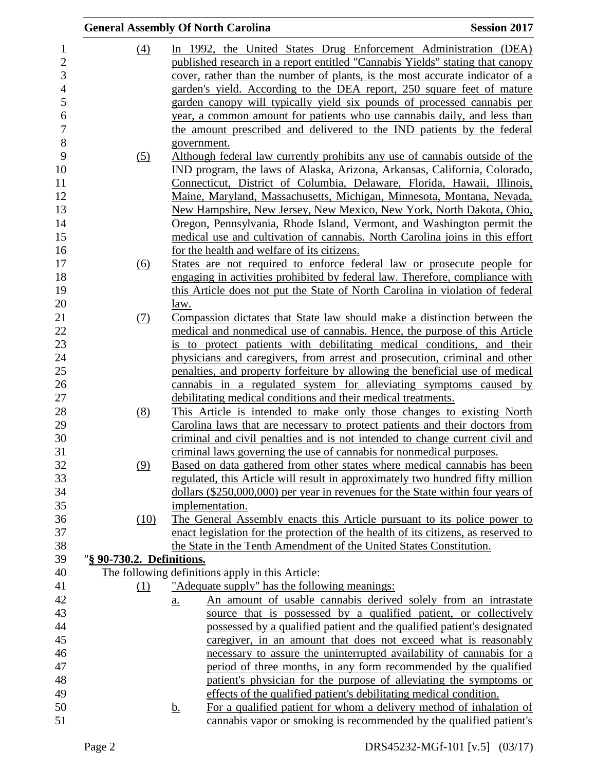|                           | <b>General Assembly Of North Carolina</b>                                                   | <b>Session 2017</b> |
|---------------------------|---------------------------------------------------------------------------------------------|---------------------|
| $\left(4\right)$          | In 1992, the United States Drug Enforcement Administration (DEA)                            |                     |
|                           | published research in a report entitled "Cannabis Yields" stating that canopy               |                     |
|                           | cover, rather than the number of plants, is the most accurate indicator of a                |                     |
|                           | garden's yield. According to the DEA report, 250 square feet of mature                      |                     |
|                           | garden canopy will typically yield six pounds of processed cannabis per                     |                     |
|                           | year, a common amount for patients who use cannabis daily, and less than                    |                     |
|                           | the amount prescribed and delivered to the IND patients by the federal                      |                     |
|                           | government.                                                                                 |                     |
| (5)                       | Although federal law currently prohibits any use of cannabis outside of the                 |                     |
|                           | IND program, the laws of Alaska, Arizona, Arkansas, California, Colorado,                   |                     |
|                           | Connecticut, District of Columbia, Delaware, Florida, Hawaii, Illinois,                     |                     |
|                           | Maine, Maryland, Massachusetts, Michigan, Minnesota, Montana, Nevada,                       |                     |
|                           | New Hampshire, New Jersey, New Mexico, New York, North Dakota, Ohio,                        |                     |
|                           | Oregon, Pennsylvania, Rhode Island, Vermont, and Washington permit the                      |                     |
|                           | medical use and cultivation of cannabis. North Carolina joins in this effort                |                     |
|                           | for the health and welfare of its citizens.                                                 |                     |
| (6)                       | States are not required to enforce federal law or prosecute people for                      |                     |
|                           | engaging in activities prohibited by federal law. Therefore, compliance with                |                     |
|                           | this Article does not put the State of North Carolina in violation of federal               |                     |
|                           | law.                                                                                        |                     |
| (7)                       | Compassion dictates that State law should make a distinction between the                    |                     |
|                           | medical and nonmedical use of cannabis. Hence, the purpose of this Article                  |                     |
|                           | is to protect patients with debilitating medical conditions, and their                      |                     |
|                           | physicians and caregivers, from arrest and prosecution, criminal and other                  |                     |
|                           | penalties, and property forfeiture by allowing the beneficial use of medical                |                     |
|                           | cannabis in a regulated system for alleviating symptoms caused by                           |                     |
|                           | debilitating medical conditions and their medical treatments.                               |                     |
| (8)                       | This Article is intended to make only those changes to existing North                       |                     |
|                           | Carolina laws that are necessary to protect patients and their doctors from                 |                     |
|                           | criminal and civil penalties and is not intended to change current civil and                |                     |
|                           | criminal laws governing the use of cannabis for nonmedical purposes.                        |                     |
| (9)                       | Based on data gathered from other states where medical cannabis has been                    |                     |
|                           | regulated, this Article will result in approximately two hundred fifty million              |                     |
|                           | dollars (\$250,000,000) per year in revenues for the State within four years of             |                     |
|                           | implementation.<br>The General Assembly enacts this Article pursuant to its police power to |                     |
| (10)                      | enact legislation for the protection of the health of its citizens, as reserved to          |                     |
|                           | the State in the Tenth Amendment of the United States Constitution.                         |                     |
| "§ 90-730.2. Definitions. |                                                                                             |                     |
|                           | The following definitions apply in this Article:                                            |                     |
| (1)                       | "Adequate supply" has the following meanings:                                               |                     |
|                           | An amount of usable cannabis derived solely from an intrastate<br>$\underline{a}$ .         |                     |
|                           | source that is possessed by a qualified patient, or collectively                            |                     |
|                           | possessed by a qualified patient and the qualified patient's designated                     |                     |
|                           | caregiver, in an amount that does not exceed what is reasonably                             |                     |
|                           | necessary to assure the uninterrupted availability of cannabis for a                        |                     |
|                           | period of three months, in any form recommended by the qualified                            |                     |
|                           | patient's physician for the purpose of alleviating the symptoms or                          |                     |
|                           | effects of the qualified patient's debilitating medical condition.                          |                     |
|                           | For a qualified patient for whom a delivery method of inhalation of<br><u>b.</u>            |                     |
|                           | cannabis vapor or smoking is recommended by the qualified patient's                         |                     |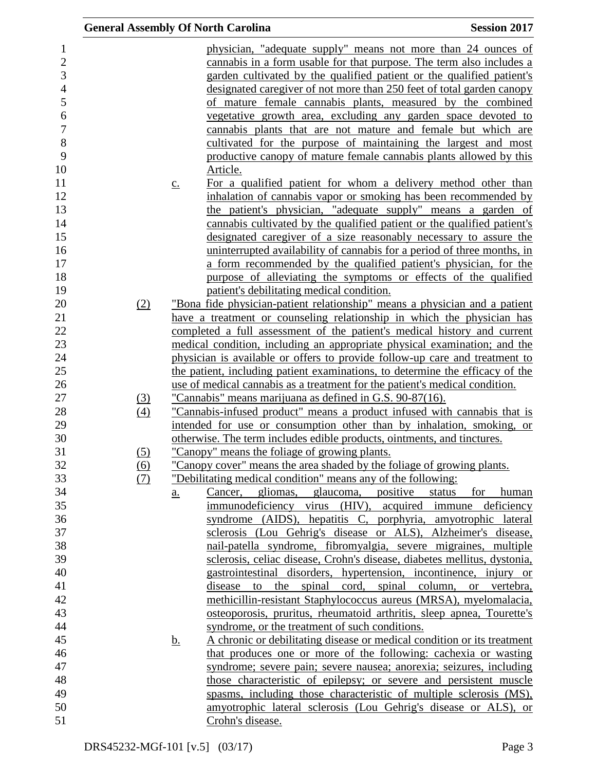|                                                                                                                          |                   | <b>General Assembly Of North Carolina</b>                                                                                                                                                                                                                                                                                                                                                                                                                                                                                                                                                                                                                                                                                                                                                                                                                                                                                 | <b>Session 2017</b>                          |
|--------------------------------------------------------------------------------------------------------------------------|-------------------|---------------------------------------------------------------------------------------------------------------------------------------------------------------------------------------------------------------------------------------------------------------------------------------------------------------------------------------------------------------------------------------------------------------------------------------------------------------------------------------------------------------------------------------------------------------------------------------------------------------------------------------------------------------------------------------------------------------------------------------------------------------------------------------------------------------------------------------------------------------------------------------------------------------------------|----------------------------------------------|
| $\mathbf 1$<br>$\overline{c}$<br>3<br>$\overline{4}$<br>5<br>6<br>$\overline{7}$<br>8<br>9<br>10<br>11<br>12<br>13<br>14 | $\underline{c}$ . | physician, "adequate supply" means not more than 24 ounces of<br>cannabis in a form usable for that purpose. The term also includes a<br>garden cultivated by the qualified patient or the qualified patient's<br>designated caregiver of not more than 250 feet of total garden canopy<br>of mature female cannabis plants, measured by the combined<br>vegetative growth area, excluding any garden space devoted to<br>cannabis plants that are not mature and female but which are<br>cultivated for the purpose of maintaining the largest and most<br>productive canopy of mature female cannabis plants allowed by this<br>Article.<br>For a qualified patient for whom a delivery method other than<br>inhalation of cannabis vapor or smoking has been recommended by<br>the patient's physician, "adequate supply" means a garden of<br>cannabis cultivated by the qualified patient or the qualified patient's |                                              |
| 15                                                                                                                       |                   | designated caregiver of a size reasonably necessary to assure the                                                                                                                                                                                                                                                                                                                                                                                                                                                                                                                                                                                                                                                                                                                                                                                                                                                         |                                              |
| 16<br>17                                                                                                                 |                   | uninterrupted availability of cannabis for a period of three months, in<br>a form recommended by the qualified patient's physician, for the                                                                                                                                                                                                                                                                                                                                                                                                                                                                                                                                                                                                                                                                                                                                                                               |                                              |
| 18                                                                                                                       |                   | purpose of alleviating the symptoms or effects of the qualified                                                                                                                                                                                                                                                                                                                                                                                                                                                                                                                                                                                                                                                                                                                                                                                                                                                           |                                              |
| 19                                                                                                                       |                   | patient's debilitating medical condition.                                                                                                                                                                                                                                                                                                                                                                                                                                                                                                                                                                                                                                                                                                                                                                                                                                                                                 |                                              |
| 20<br>(2)                                                                                                                |                   | "Bona fide physician-patient relationship" means a physician and a patient                                                                                                                                                                                                                                                                                                                                                                                                                                                                                                                                                                                                                                                                                                                                                                                                                                                |                                              |
| 21                                                                                                                       |                   | have a treatment or counseling relationship in which the physician has                                                                                                                                                                                                                                                                                                                                                                                                                                                                                                                                                                                                                                                                                                                                                                                                                                                    |                                              |
| 22                                                                                                                       |                   | completed a full assessment of the patient's medical history and current                                                                                                                                                                                                                                                                                                                                                                                                                                                                                                                                                                                                                                                                                                                                                                                                                                                  |                                              |
| 23                                                                                                                       |                   | medical condition, including an appropriate physical examination; and the                                                                                                                                                                                                                                                                                                                                                                                                                                                                                                                                                                                                                                                                                                                                                                                                                                                 |                                              |
| 24                                                                                                                       |                   | physician is available or offers to provide follow-up care and treatment to                                                                                                                                                                                                                                                                                                                                                                                                                                                                                                                                                                                                                                                                                                                                                                                                                                               |                                              |
| 25                                                                                                                       |                   | the patient, including patient examinations, to determine the efficacy of the                                                                                                                                                                                                                                                                                                                                                                                                                                                                                                                                                                                                                                                                                                                                                                                                                                             |                                              |
| 26                                                                                                                       |                   | use of medical cannabis as a treatment for the patient's medical condition.                                                                                                                                                                                                                                                                                                                                                                                                                                                                                                                                                                                                                                                                                                                                                                                                                                               |                                              |
| 27<br><u>(3)</u>                                                                                                         |                   | <u>"Cannabis" means marijuana as defined in G.S. 90-87(16).</u>                                                                                                                                                                                                                                                                                                                                                                                                                                                                                                                                                                                                                                                                                                                                                                                                                                                           |                                              |
| 28<br>(4)<br>29                                                                                                          |                   | "Cannabis-infused product" means a product infused with cannabis that is<br>intended for use or consumption other than by inhalation, smoking, or                                                                                                                                                                                                                                                                                                                                                                                                                                                                                                                                                                                                                                                                                                                                                                         |                                              |
| 30                                                                                                                       |                   | otherwise. The term includes edible products, ointments, and tinctures.                                                                                                                                                                                                                                                                                                                                                                                                                                                                                                                                                                                                                                                                                                                                                                                                                                                   |                                              |
| 31<br>(5)                                                                                                                |                   | "Canopy" means the foliage of growing plants.                                                                                                                                                                                                                                                                                                                                                                                                                                                                                                                                                                                                                                                                                                                                                                                                                                                                             |                                              |
| 32<br><u>(6)</u>                                                                                                         |                   | <u>"Canopy cover" means the area shaded by the foliage of growing plants.</u>                                                                                                                                                                                                                                                                                                                                                                                                                                                                                                                                                                                                                                                                                                                                                                                                                                             |                                              |
| 33<br>(7)                                                                                                                |                   | "Debilitating medical condition" means any of the following:                                                                                                                                                                                                                                                                                                                                                                                                                                                                                                                                                                                                                                                                                                                                                                                                                                                              |                                              |
| 34                                                                                                                       | <u>a.</u>         | gliomas, glaucoma, positive<br>Cancer,                                                                                                                                                                                                                                                                                                                                                                                                                                                                                                                                                                                                                                                                                                                                                                                                                                                                                    | status<br>for<br>human                       |
| 35                                                                                                                       |                   | immunodeficiency virus (HIV), acquired immune deficiency                                                                                                                                                                                                                                                                                                                                                                                                                                                                                                                                                                                                                                                                                                                                                                                                                                                                  |                                              |
| 36                                                                                                                       |                   | syndrome (AIDS), hepatitis C, porphyria, amyotrophic lateral                                                                                                                                                                                                                                                                                                                                                                                                                                                                                                                                                                                                                                                                                                                                                                                                                                                              |                                              |
| 37                                                                                                                       |                   | sclerosis (Lou Gehrig's disease or ALS), Alzheimer's disease,                                                                                                                                                                                                                                                                                                                                                                                                                                                                                                                                                                                                                                                                                                                                                                                                                                                             |                                              |
| 38                                                                                                                       |                   | nail-patella syndrome, fibromyalgia, severe migraines, multiple                                                                                                                                                                                                                                                                                                                                                                                                                                                                                                                                                                                                                                                                                                                                                                                                                                                           |                                              |
| 39                                                                                                                       |                   | sclerosis, celiac disease, Crohn's disease, diabetes mellitus, dystonia,                                                                                                                                                                                                                                                                                                                                                                                                                                                                                                                                                                                                                                                                                                                                                                                                                                                  |                                              |
| 40                                                                                                                       |                   | gastrointestinal disorders, hypertension, incontinence, injury or                                                                                                                                                                                                                                                                                                                                                                                                                                                                                                                                                                                                                                                                                                                                                                                                                                                         |                                              |
| 41                                                                                                                       |                   | disease<br>to                                                                                                                                                                                                                                                                                                                                                                                                                                                                                                                                                                                                                                                                                                                                                                                                                                                                                                             | the spinal cord, spinal column, or vertebra, |
| 42                                                                                                                       |                   | methicillin-resistant Staphylococcus aureus (MRSA), myelomalacia,                                                                                                                                                                                                                                                                                                                                                                                                                                                                                                                                                                                                                                                                                                                                                                                                                                                         |                                              |
| 43<br>44                                                                                                                 |                   | osteoporosis, pruritus, rheumatoid arthritis, sleep apnea, Tourette's                                                                                                                                                                                                                                                                                                                                                                                                                                                                                                                                                                                                                                                                                                                                                                                                                                                     |                                              |
| 45                                                                                                                       |                   | syndrome, or the treatment of such conditions.<br>A chronic or debilitating disease or medical condition or its treatment                                                                                                                                                                                                                                                                                                                                                                                                                                                                                                                                                                                                                                                                                                                                                                                                 |                                              |
| 46                                                                                                                       | <u>b.</u>         | that produces one or more of the following: cachexia or wasting                                                                                                                                                                                                                                                                                                                                                                                                                                                                                                                                                                                                                                                                                                                                                                                                                                                           |                                              |
|                                                                                                                          |                   | syndrome; severe pain; severe nausea; anorexia; seizures, including                                                                                                                                                                                                                                                                                                                                                                                                                                                                                                                                                                                                                                                                                                                                                                                                                                                       |                                              |
| 47<br>48                                                                                                                 |                   | those characteristic of epilepsy; or severe and persistent muscle                                                                                                                                                                                                                                                                                                                                                                                                                                                                                                                                                                                                                                                                                                                                                                                                                                                         |                                              |
| 49                                                                                                                       |                   | spasms, including those characteristic of multiple sclerosis (MS),                                                                                                                                                                                                                                                                                                                                                                                                                                                                                                                                                                                                                                                                                                                                                                                                                                                        |                                              |
|                                                                                                                          |                   | amyotrophic lateral sclerosis (Lou Gehrig's disease or ALS), or                                                                                                                                                                                                                                                                                                                                                                                                                                                                                                                                                                                                                                                                                                                                                                                                                                                           |                                              |
| 50<br>51                                                                                                                 |                   | Crohn's disease.                                                                                                                                                                                                                                                                                                                                                                                                                                                                                                                                                                                                                                                                                                                                                                                                                                                                                                          |                                              |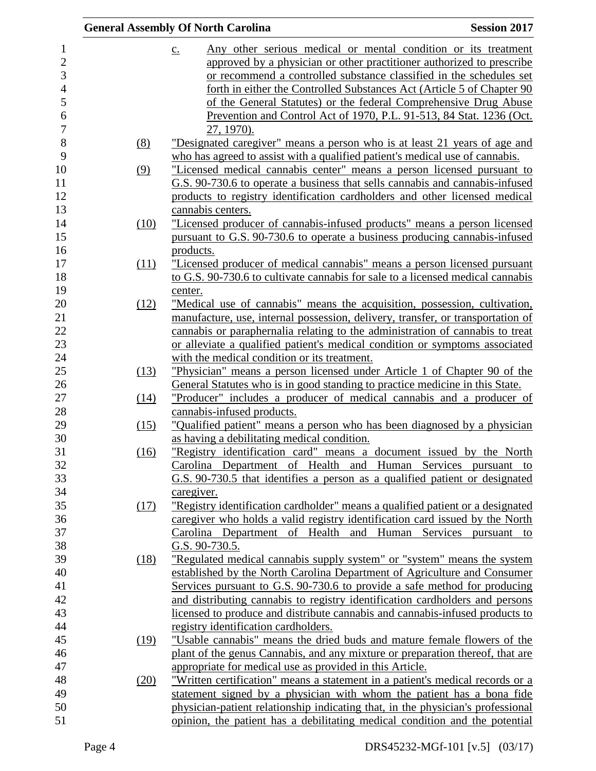|      | <b>General Assembly Of North Carolina</b>                                           | <b>Session 2017</b> |
|------|-------------------------------------------------------------------------------------|---------------------|
|      | Any other serious medical or mental condition or its treatment<br>$\underline{c}$ . |                     |
|      | approved by a physician or other practitioner authorized to prescribe               |                     |
|      | or recommend a controlled substance classified in the schedules set                 |                     |
|      | forth in either the Controlled Substances Act (Article 5 of Chapter 90              |                     |
|      | of the General Statutes) or the federal Comprehensive Drug Abuse                    |                     |
|      | Prevention and Control Act of 1970, P.L. 91-513, 84 Stat. 1236 (Oct.                |                     |
|      | 27, 1970).                                                                          |                     |
| (8)  | <u>"Designated caregiver" means a person who is at least 21 years of age and</u>    |                     |
|      | who has agreed to assist with a qualified patient's medical use of cannabis.        |                     |
| (9)  | "Licensed medical cannabis center" means a person licensed pursuant to              |                     |
|      | G.S. 90-730.6 to operate a business that sells cannabis and cannabis-infused        |                     |
|      | products to registry identification cardholders and other licensed medical          |                     |
|      | cannabis centers.                                                                   |                     |
| (10) | "Licensed producer of cannabis-infused products" means a person licensed            |                     |
|      | pursuant to G.S. 90-730.6 to operate a business producing cannabis-infused          |                     |
|      | products.                                                                           |                     |
| (11) | "Licensed producer of medical cannabis" means a person licensed pursuant            |                     |
|      | to G.S. 90-730.6 to cultivate cannabis for sale to a licensed medical cannabis      |                     |
|      | center.                                                                             |                     |
| (12) | "Medical use of cannabis" means the acquisition, possession, cultivation,           |                     |
|      | manufacture, use, internal possession, delivery, transfer, or transportation of     |                     |
|      | cannabis or paraphernalia relating to the administration of cannabis to treat       |                     |
|      | or alleviate a qualified patient's medical condition or symptoms associated         |                     |
|      | with the medical condition or its treatment.                                        |                     |
| (13) | "Physician" means a person licensed under Article 1 of Chapter 90 of the            |                     |
|      | General Statutes who is in good standing to practice medicine in this State.        |                     |
| (14) | "Producer" includes a producer of medical cannabis and a producer of                |                     |
|      | cannabis-infused products.                                                          |                     |
| (15) | "Qualified patient" means a person who has been diagnosed by a physician            |                     |
|      | as having a debilitating medical condition.                                         |                     |
| (16) | "Registry identification card" means a document issued by the North                 |                     |
|      | Carolina Department of Health and Human Services pursuant to                        |                     |
|      | G.S. 90-730.5 that identifies a person as a qualified patient or designated         |                     |
|      | caregiver.                                                                          |                     |
| (17) | "Registry identification cardholder" means a qualified patient or a designated      |                     |
|      | caregiver who holds a valid registry identification card issued by the North        |                     |
|      | Carolina Department of Health and Human Services                                    | pursuant to         |
|      | G.S. 90-730.5.                                                                      |                     |
| (18) | "Regulated medical cannabis supply system" or "system" means the system             |                     |
|      | established by the North Carolina Department of Agriculture and Consumer            |                     |
|      | Services pursuant to G.S. 90-730.6 to provide a safe method for producing           |                     |
|      | and distributing cannabis to registry identification cardholders and persons        |                     |
|      | licensed to produce and distribute cannabis and cannabis-infused products to        |                     |
|      | registry identification cardholders.                                                |                     |
| (19) | "Usable cannabis" means the dried buds and mature female flowers of the             |                     |
|      | plant of the genus Cannabis, and any mixture or preparation thereof, that are       |                     |
|      | appropriate for medical use as provided in this Article.                            |                     |
| (20) | "Written certification" means a statement in a patient's medical records or a       |                     |
|      | statement signed by a physician with whom the patient has a bona fide               |                     |
|      | physician-patient relationship indicating that, in the physician's professional     |                     |
|      | opinion, the patient has a debilitating medical condition and the potential         |                     |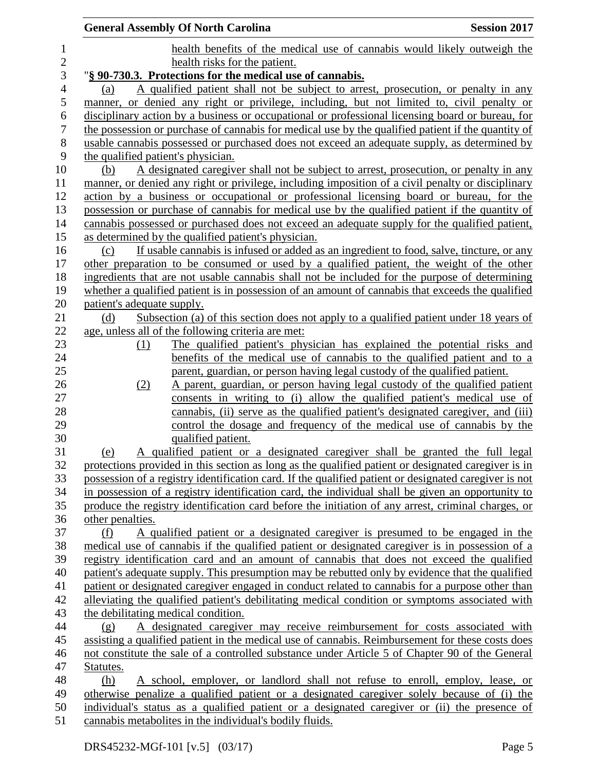|                |                                    | <b>General Assembly Of North Carolina</b>                                                                                                                                                  | <b>Session 2017</b> |
|----------------|------------------------------------|--------------------------------------------------------------------------------------------------------------------------------------------------------------------------------------------|---------------------|
| $\mathbf{1}$   |                                    | health benefits of the medical use of cannabis would likely outweigh the                                                                                                                   |                     |
| $\overline{c}$ |                                    | health risks for the patient.                                                                                                                                                              |                     |
| $\mathfrak{Z}$ |                                    | "§ 90-730.3. Protections for the medical use of cannabis.                                                                                                                                  |                     |
| $\overline{4}$ | (a)                                | A qualified patient shall not be subject to arrest, prosecution, or penalty in any                                                                                                         |                     |
| 5              |                                    | manner, or denied any right or privilege, including, but not limited to, civil penalty or                                                                                                  |                     |
| 6              |                                    | disciplinary action by a business or occupational or professional licensing board or bureau, for                                                                                           |                     |
| $\tau$         |                                    | the possession or purchase of cannabis for medical use by the qualified patient if the quantity of                                                                                         |                     |
| $8\,$          |                                    | usable cannabis possessed or purchased does not exceed an adequate supply, as determined by                                                                                                |                     |
| 9              | the qualified patient's physician. |                                                                                                                                                                                            |                     |
| 10             | (b)                                | A designated caregiver shall not be subject to arrest, prosecution, or penalty in any                                                                                                      |                     |
| 11             |                                    | manner, or denied any right or privilege, including imposition of a civil penalty or disciplinary                                                                                          |                     |
| 12             |                                    | action by a business or occupational or professional licensing board or bureau, for the                                                                                                    |                     |
| 13             |                                    | possession or purchase of cannabis for medical use by the qualified patient if the quantity of                                                                                             |                     |
| 14             |                                    | cannabis possessed or purchased does not exceed an adequate supply for the qualified patient,                                                                                              |                     |
| 15             |                                    | as determined by the qualified patient's physician.                                                                                                                                        |                     |
| 16             | (c)                                | If usable cannabis is infused or added as an ingredient to food, salve, tincture, or any                                                                                                   |                     |
| 17             |                                    | other preparation to be consumed or used by a qualified patient, the weight of the other                                                                                                   |                     |
| 18             |                                    | ingredients that are not usable cannabis shall not be included for the purpose of determining                                                                                              |                     |
| 19             |                                    | whether a qualified patient is in possession of an amount of cannabis that exceeds the qualified                                                                                           |                     |
| 20             | patient's adequate supply.         |                                                                                                                                                                                            |                     |
| 21             | (d)                                | Subsection (a) of this section does not apply to a qualified patient under 18 years of                                                                                                     |                     |
| 22             |                                    | age, unless all of the following criteria are met:                                                                                                                                         |                     |
| 23             | (1)                                | The qualified patient's physician has explained the potential risks and                                                                                                                    |                     |
| 24             |                                    | benefits of the medical use of cannabis to the qualified patient and to a                                                                                                                  |                     |
| 25             |                                    | parent, guardian, or person having legal custody of the qualified patient.                                                                                                                 |                     |
| 26             | (2)                                | A parent, guardian, or person having legal custody of the qualified patient                                                                                                                |                     |
| 27             |                                    | consents in writing to (i) allow the qualified patient's medical use of                                                                                                                    |                     |
| 28             |                                    | cannabis, (ii) serve as the qualified patient's designated caregiver, and (iii)                                                                                                            |                     |
| 29             |                                    | control the dosage and frequency of the medical use of cannabis by the                                                                                                                     |                     |
| 30             |                                    | qualified patient.                                                                                                                                                                         |                     |
| 31             | (e)                                | A qualified patient or a designated caregiver shall be granted the full legal                                                                                                              |                     |
| 32             |                                    | protections provided in this section as long as the qualified patient or designated caregiver is in                                                                                        |                     |
| 33             |                                    | possession of a registry identification card. If the qualified patient or designated caregiver is not                                                                                      |                     |
| 34             |                                    | in possession of a registry identification card, the individual shall be given an opportunity to                                                                                           |                     |
| 35             |                                    | produce the registry identification card before the initiation of any arrest, criminal charges, or                                                                                         |                     |
| 36             | other penalties.                   |                                                                                                                                                                                            |                     |
| 37             | (f)                                | A qualified patient or a designated caregiver is presumed to be engaged in the                                                                                                             |                     |
| 38             |                                    | medical use of cannabis if the qualified patient or designated caregiver is in possession of a                                                                                             |                     |
| 39             |                                    | registry identification card and an amount of cannabis that does not exceed the qualified                                                                                                  |                     |
| 40             |                                    | patient's adequate supply. This presumption may be rebutted only by evidence that the qualified                                                                                            |                     |
| 41             |                                    | patient or designated caregiver engaged in conduct related to cannabis for a purpose other than                                                                                            |                     |
| 42             |                                    | alleviating the qualified patient's debilitating medical condition or symptoms associated with                                                                                             |                     |
| 43             |                                    | the debilitating medical condition.                                                                                                                                                        |                     |
| 44             | (g)                                | A designated caregiver may receive reimbursement for costs associated with                                                                                                                 |                     |
| 45             |                                    | assisting a qualified patient in the medical use of cannabis. Reimbursement for these costs does                                                                                           |                     |
| 46             |                                    | not constitute the sale of a controlled substance under Article 5 of Chapter 90 of the General                                                                                             |                     |
| 47             | Statutes.                          |                                                                                                                                                                                            |                     |
| 48             | (h)                                | A school, employer, or landlord shall not refuse to enroll, employ, lease, or                                                                                                              |                     |
| 49<br>50       |                                    | otherwise penalize a qualified patient or a designated caregiver solely because of (i) the<br>individual's status as a qualified patient or a designated caregiver or (ii) the presence of |                     |
| 51             |                                    | cannabis metabolites in the individual's bodily fluids.                                                                                                                                    |                     |
|                |                                    |                                                                                                                                                                                            |                     |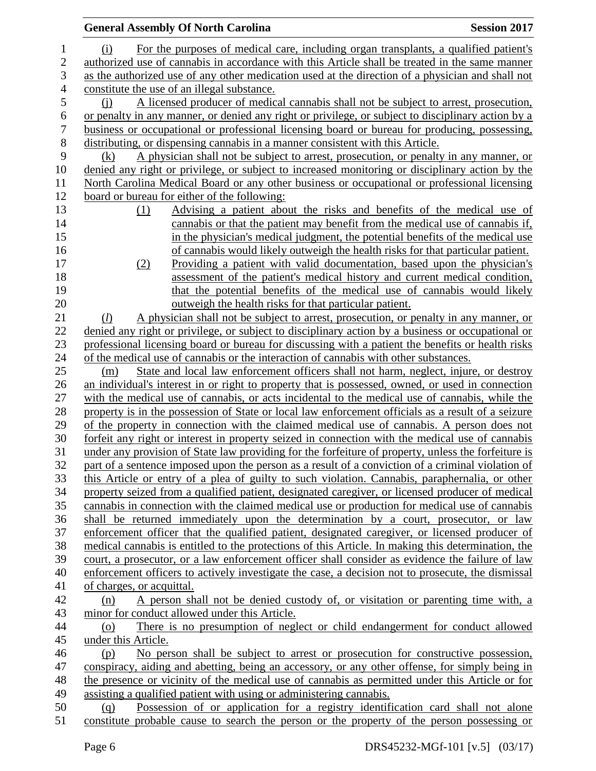|                | <b>General Assembly Of North Carolina</b><br><b>Session 2017</b>                                    |  |
|----------------|-----------------------------------------------------------------------------------------------------|--|
| $\mathbf{1}$   | For the purposes of medical care, including organ transplants, a qualified patient's<br>(i)         |  |
| $\overline{c}$ | authorized use of cannabis in accordance with this Article shall be treated in the same manner      |  |
| 3              | as the authorized use of any other medication used at the direction of a physician and shall not    |  |
| $\overline{4}$ | constitute the use of an illegal substance.                                                         |  |
| 5              | A licensed producer of medical cannabis shall not be subject to arrest, prosecution,<br>(i)         |  |
| 6              | or penalty in any manner, or denied any right or privilege, or subject to disciplinary action by a  |  |
| 7              | business or occupational or professional licensing board or bureau for producing, possessing,       |  |
| $8\,$          | distributing, or dispensing cannabis in a manner consistent with this Article.                      |  |
| 9              | A physician shall not be subject to arrest, prosecution, or penalty in any manner, or<br>(k)        |  |
| 10             | denied any right or privilege, or subject to increased monitoring or disciplinary action by the     |  |
| 11             | North Carolina Medical Board or any other business or occupational or professional licensing        |  |
| 12             | board or bureau for either of the following:                                                        |  |
| 13             | Advising a patient about the risks and benefits of the medical use of<br>(1)                        |  |
| 14             | cannabis or that the patient may benefit from the medical use of cannabis if,                       |  |
| 15             | in the physician's medical judgment, the potential benefits of the medical use                      |  |
| 16             | of cannabis would likely outweigh the health risks for that particular patient.                     |  |
| 17             | Providing a patient with valid documentation, based upon the physician's<br>(2)                     |  |
| 18             | assessment of the patient's medical history and current medical condition,                          |  |
| 19             | that the potential benefits of the medical use of cannabis would likely                             |  |
| 20             | outweigh the health risks for that particular patient.                                              |  |
| 21             | A physician shall not be subject to arrest, prosecution, or penalty in any manner, or<br>(l)        |  |
| 22             | denied any right or privilege, or subject to disciplinary action by a business or occupational or   |  |
| 23             | professional licensing board or bureau for discussing with a patient the benefits or health risks   |  |
| 24             | of the medical use of cannabis or the interaction of cannabis with other substances.                |  |
| 25             | State and local law enforcement officers shall not harm, neglect, injure, or destroy<br>(m)         |  |
| 26             | an individual's interest in or right to property that is possessed, owned, or used in connection    |  |
| 27             | with the medical use of cannabis, or acts incidental to the medical use of cannabis, while the      |  |
| 28             | property is in the possession of State or local law enforcement officials as a result of a seizure  |  |
| 29             | of the property in connection with the claimed medical use of cannabis. A person does not           |  |
| 30             | forfeit any right or interest in property seized in connection with the medical use of cannabis     |  |
| 31             | under any provision of State law providing for the forfeiture of property, unless the forfeiture is |  |
| 32             | part of a sentence imposed upon the person as a result of a conviction of a criminal violation of   |  |
| 33             | this Article or entry of a plea of guilty to such violation. Cannabis, paraphernalia, or other      |  |
| 34             | property seized from a qualified patient, designated caregiver, or licensed producer of medical     |  |
| 35             | cannabis in connection with the claimed medical use or production for medical use of cannabis       |  |
| 36             | shall be returned immediately upon the determination by a court, prosecutor, or law                 |  |
| 37             | enforcement officer that the qualified patient, designated caregiver, or licensed producer of       |  |
| 38             | medical cannabis is entitled to the protections of this Article. In making this determination, the  |  |
| 39             | court, a prosecutor, or a law enforcement officer shall consider as evidence the failure of law     |  |
| 40             | enforcement officers to actively investigate the case, a decision not to prosecute, the dismissal   |  |
| 41             | of charges, or acquittal.                                                                           |  |
| 42             | A person shall not be denied custody of, or visitation or parenting time with, a<br>(n)             |  |
| 43             | minor for conduct allowed under this Article.                                                       |  |
| 44             | There is no presumption of neglect or child endangerment for conduct allowed<br>(o)                 |  |
| 45             | under this Article.                                                                                 |  |
| 46             | No person shall be subject to arrest or prosecution for constructive possession,<br>(p)             |  |
| 47             | conspiracy, aiding and abetting, being an accessory, or any other offense, for simply being in      |  |
| 48             | the presence or vicinity of the medical use of cannabis as permitted under this Article or for      |  |
| 49             | assisting a qualified patient with using or administering cannabis.                                 |  |
| 50<br>51       | Possession of or application for a registry identification card shall not alone<br>(q)              |  |
|                | constitute probable cause to search the person or the property of the person possessing or          |  |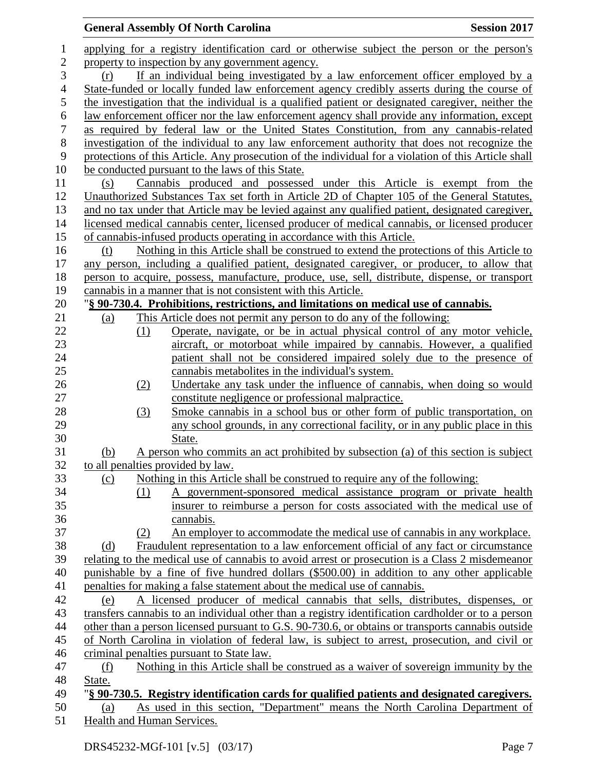### **General Assembly Of North Carolina Session 2017**  applying for a registry identification card or otherwise subject the person or the person's 2 property to inspection by any government agency. (r) If an individual being investigated by a law enforcement officer employed by a State-funded or locally funded law enforcement agency credibly asserts during the course of the investigation that the individual is a qualified patient or designated caregiver, neither the 6 law enforcement officer nor the law enforcement agency shall provide any information, except as required by federal law or the United States Constitution, from any cannabis-related as required by federal law or the United States Constitution, from any cannabis-related investigation of the individual to any law enforcement authority that does not recognize the protections of this Article. Any prosecution of the individual for a violation of this Article shall be conducted pursuant to the laws of this State. (s) Cannabis produced and possessed under this Article is exempt from the Unauthorized Substances Tax set forth in Article 2D of Chapter 105 of the General Statutes, and no tax under that Article may be levied against any qualified patient, designated caregiver, licensed medical cannabis center, licensed producer of medical cannabis, or licensed producer of cannabis-infused products operating in accordance with this Article. (t) Nothing in this Article shall be construed to extend the protections of this Article to any person, including a qualified patient, designated caregiver, or producer, to allow that person to acquire, possess, manufacture, produce, use, sell, distribute, dispense, or transport cannabis in a manner that is not consistent with this Article. "**§ 90-730.4. Prohibitions, restrictions, and limitations on medical use of cannabis.** (a) This Article does not permit any person to do any of the following: (1) Operate, navigate, or be in actual physical control of any motor vehicle, aircraft, or motorboat while impaired by cannabis. However, a qualified patient shall not be considered impaired solely due to the presence of cannabis metabolites in the individual's system. (2) Undertake any task under the influence of cannabis, when doing so would constitute negligence or professional malpractice. (3) Smoke cannabis in a school bus or other form of public transportation, on any school grounds, in any correctional facility, or in any public place in this State. (b) A person who commits an act prohibited by subsection (a) of this section is subject to all penalties provided by law. (c) Nothing in this Article shall be construed to require any of the following: (1) A government-sponsored medical assistance program or private health insurer to reimburse a person for costs associated with the medical use of cannabis. (2) An employer to accommodate the medical use of cannabis in any workplace. (d) Fraudulent representation to a law enforcement official of any fact or circumstance relating to the medical use of cannabis to avoid arrest or prosecution is a Class 2 misdemeanor punishable by a fine of five hundred dollars (\$500.00) in addition to any other applicable penalties for making a false statement about the medical use of cannabis. (e) A licensed producer of medical cannabis that sells, distributes, dispenses, or transfers cannabis to an individual other than a registry identification cardholder or to a person other than a person licensed pursuant to G.S. 90-730.6, or obtains or transports cannabis outside of North Carolina in violation of federal law, is subject to arrest, prosecution, and civil or criminal penalties pursuant to State law. (f) Nothing in this Article shall be construed as a waiver of sovereign immunity by the State. "**§ 90-730.5. Registry identification cards for qualified patients and designated caregivers.** (a) As used in this section, "Department" means the North Carolina Department of Health and Human Services.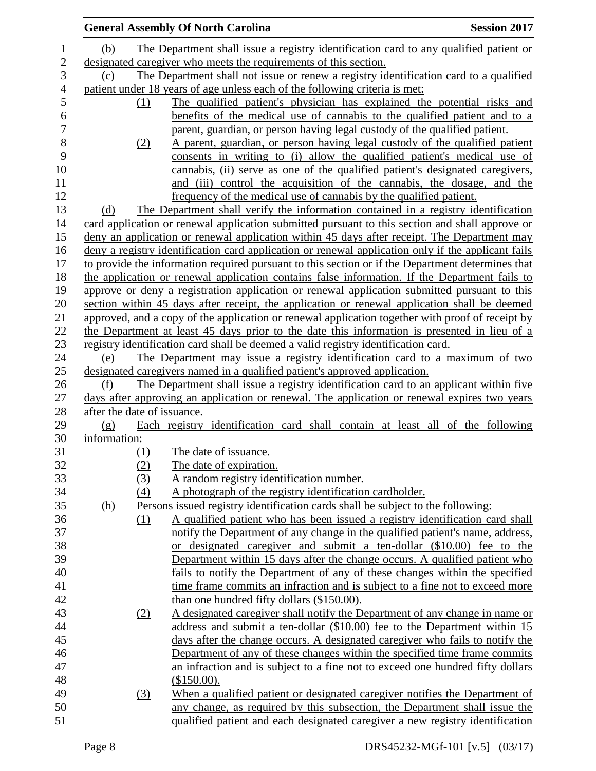|              |                             |     | <b>General Assembly Of North Carolina</b>                                                          | <b>Session 2017</b> |
|--------------|-----------------------------|-----|----------------------------------------------------------------------------------------------------|---------------------|
|              | (b)                         |     | The Department shall issue a registry identification card to any qualified patient or              |                     |
| $\mathbf{2}$ |                             |     | designated caregiver who meets the requirements of this section.                                   |                     |
|              | (c)                         |     | The Department shall not issue or renew a registry identification card to a qualified              |                     |
|              |                             |     | patient under 18 years of age unless each of the following criteria is met:                        |                     |
|              |                             | (1) | The qualified patient's physician has explained the potential risks and                            |                     |
|              |                             |     | benefits of the medical use of cannabis to the qualified patient and to a                          |                     |
|              |                             |     | parent, guardian, or person having legal custody of the qualified patient.                         |                     |
|              |                             | (2) | A parent, guardian, or person having legal custody of the qualified patient                        |                     |
|              |                             |     | consents in writing to (i) allow the qualified patient's medical use of                            |                     |
|              |                             |     | cannabis, (ii) serve as one of the qualified patient's designated caregivers,                      |                     |
|              |                             |     | and (iii) control the acquisition of the cannabis, the dosage, and the                             |                     |
|              |                             |     | frequency of the medical use of cannabis by the qualified patient.                                 |                     |
|              | (d)                         |     | The Department shall verify the information contained in a registry identification                 |                     |
|              |                             |     | card application or renewal application submitted pursuant to this section and shall approve or    |                     |
|              |                             |     | deny an application or renewal application within 45 days after receipt. The Department may        |                     |
|              |                             |     | deny a registry identification card application or renewal application only if the applicant fails |                     |
|              |                             |     | to provide the information required pursuant to this section or if the Department determines that  |                     |
|              |                             |     | the application or renewal application contains false information. If the Department fails to      |                     |
|              |                             |     | approve or deny a registration application or renewal application submitted pursuant to this       |                     |
|              |                             |     | section within 45 days after receipt, the application or renewal application shall be deemed       |                     |
|              |                             |     | approved, and a copy of the application or renewal application together with proof of receipt by   |                     |
|              |                             |     | the Department at least 45 days prior to the date this information is presented in lieu of a       |                     |
|              |                             |     | registry identification card shall be deemed a valid registry identification card.                 |                     |
|              | (e)                         |     | The Department may issue a registry identification card to a maximum of two                        |                     |
|              |                             |     | designated caregivers named in a qualified patient's approved application.                         |                     |
|              | (f)                         |     | The Department shall issue a registry identification card to an applicant within five              |                     |
|              |                             |     | days after approving an application or renewal. The application or renewal expires two years       |                     |
|              | after the date of issuance. |     |                                                                                                    |                     |
|              | (g)                         |     | Each registry identification card shall contain at least all of the following                      |                     |
|              | information:                |     |                                                                                                    |                     |
|              |                             | (1) | The date of issuance.                                                                              |                     |
|              |                             | (2) | The date of expiration.                                                                            |                     |
|              |                             | (3) | A random registry identification number.                                                           |                     |
|              |                             | (4) | A photograph of the registry identification cardholder.                                            |                     |
|              | <u>(h)</u>                  |     | Persons issued registry identification cards shall be subject to the following:                    |                     |
|              |                             | (1) | A qualified patient who has been issued a registry identification card shall                       |                     |
|              |                             |     | notify the Department of any change in the qualified patient's name, address,                      |                     |
|              |                             |     | or designated caregiver and submit a ten-dollar (\$10.00) fee to the                               |                     |
|              |                             |     | Department within 15 days after the change occurs. A qualified patient who                         |                     |
|              |                             |     | fails to notify the Department of any of these changes within the specified                        |                     |
|              |                             |     | time frame commits an infraction and is subject to a fine not to exceed more                       |                     |
|              |                             |     | than one hundred fifty dollars (\$150.00).                                                         |                     |
|              |                             | (2) | A designated caregiver shall notify the Department of any change in name or                        |                     |
|              |                             |     | address and submit a ten-dollar (\$10.00) fee to the Department within 15                          |                     |
|              |                             |     | days after the change occurs. A designated caregiver who fails to notify the                       |                     |
|              |                             |     | Department of any of these changes within the specified time frame commits                         |                     |
|              |                             |     | an infraction and is subject to a fine not to exceed one hundred fifty dollars                     |                     |
|              |                             |     | (\$150.00).                                                                                        |                     |
|              |                             | (3) | When a qualified patient or designated caregiver notifies the Department of                        |                     |
|              |                             |     | any change, as required by this subsection, the Department shall issue the                         |                     |
|              |                             |     | qualified patient and each designated caregiver a new registry identification                      |                     |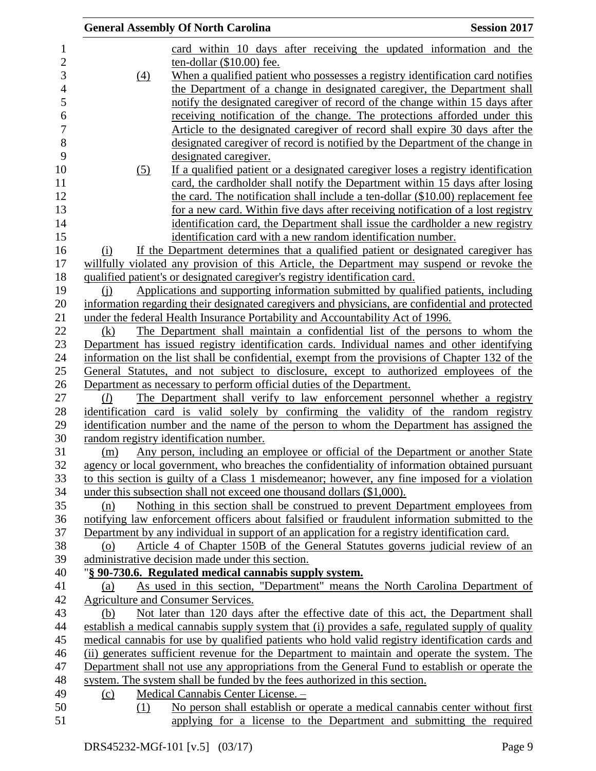| card within 10 days after receiving the updated information and the<br>1<br>$\overline{\mathbf{c}}$<br>ten-dollar (\$10.00) fee.<br>3<br>When a qualified patient who possesses a registry identification card notifies<br>$\left(4\right)$<br>$\overline{4}$<br>the Department of a change in designated caregiver, the Department shall<br>5<br>notify the designated caregiver of record of the change within 15 days after<br>6<br>receiving notification of the change. The protections afforded under this<br>$\boldsymbol{7}$<br>Article to the designated caregiver of record shall expire 30 days after the<br>8<br>designated caregiver of record is notified by the Department of the change in<br>9<br>designated caregiver.<br>10<br>If a qualified patient or a designated caregiver loses a registry identification<br>(5)<br>card, the cardholder shall notify the Department within 15 days after losing<br>11<br>12<br>the card. The notification shall include a ten-dollar (\$10.00) replacement fee<br>13<br>for a new card. Within five days after receiving notification of a lost registry<br>14<br>identification card, the Department shall issue the cardholder a new registry<br>15<br>identification card with a new random identification number.<br>If the Department determines that a qualified patient or designated caregiver has<br>16<br>(i)<br>17<br>willfully violated any provision of this Article, the Department may suspend or revoke the<br>18<br>qualified patient's or designated caregiver's registry identification card.<br>Applications and supporting information submitted by qualified patients, including<br>19<br>(i)<br>20<br>information regarding their designated caregivers and physicians, are confidential and protected<br>21<br>under the federal Health Insurance Portability and Accountability Act of 1996.<br>22<br>The Department shall maintain a confidential list of the persons to whom the<br>(k)<br>23<br>Department has issued registry identification cards. Individual names and other identifying<br>24<br>information on the list shall be confidential, exempt from the provisions of Chapter 132 of the<br>25<br>General Statutes, and not subject to disclosure, except to authorized employees of the<br>26<br>Department as necessary to perform official duties of the Department.<br>The Department shall verify to law enforcement personnel whether a registry<br>27<br>(l)<br>28<br>identification card is valid solely by confirming the validity of the random registry<br>29<br>identification number and the name of the person to whom the Department has assigned the<br>30<br>random registry identification number.<br>Any person, including an employee or official of the Department or another State<br>31<br>(m)<br>32<br>agency or local government, who breaches the confidentiality of information obtained pursuant<br>33<br>to this section is guilty of a Class 1 misdemeanor; however, any fine imposed for a violation<br>34<br>under this subsection shall not exceed one thousand dollars (\$1,000).<br>35<br>Nothing in this section shall be construed to prevent Department employees from<br>(n)<br>36<br>notifying law enforcement officers about falsified or fraudulent information submitted to the<br>Department by any individual in support of an application for a registry identification card.<br>37<br>38<br>Article 4 of Chapter 150B of the General Statutes governs judicial review of an<br>(0)<br>39<br>administrative decision made under this section.<br>40<br>"§ 90-730.6. Regulated medical cannabis supply system.<br>As used in this section, "Department" means the North Carolina Department of<br>41<br>(a)<br>42<br>Agriculture and Consumer Services.<br>43<br>Not later than 120 days after the effective date of this act, the Department shall<br>(b)<br>44<br>establish a medical cannabis supply system that (i) provides a safe, regulated supply of quality<br>medical cannabis for use by qualified patients who hold valid registry identification cards and<br>45<br>46<br>(ii) generates sufficient revenue for the Department to maintain and operate the system. The<br>Department shall not use any appropriations from the General Fund to establish or operate the<br>47 |  | <b>General Assembly Of North Carolina</b> | <b>Session 2017</b> |
|-------------------------------------------------------------------------------------------------------------------------------------------------------------------------------------------------------------------------------------------------------------------------------------------------------------------------------------------------------------------------------------------------------------------------------------------------------------------------------------------------------------------------------------------------------------------------------------------------------------------------------------------------------------------------------------------------------------------------------------------------------------------------------------------------------------------------------------------------------------------------------------------------------------------------------------------------------------------------------------------------------------------------------------------------------------------------------------------------------------------------------------------------------------------------------------------------------------------------------------------------------------------------------------------------------------------------------------------------------------------------------------------------------------------------------------------------------------------------------------------------------------------------------------------------------------------------------------------------------------------------------------------------------------------------------------------------------------------------------------------------------------------------------------------------------------------------------------------------------------------------------------------------------------------------------------------------------------------------------------------------------------------------------------------------------------------------------------------------------------------------------------------------------------------------------------------------------------------------------------------------------------------------------------------------------------------------------------------------------------------------------------------------------------------------------------------------------------------------------------------------------------------------------------------------------------------------------------------------------------------------------------------------------------------------------------------------------------------------------------------------------------------------------------------------------------------------------------------------------------------------------------------------------------------------------------------------------------------------------------------------------------------------------------------------------------------------------------------------------------------------------------------------------------------------------------------------------------------------------------------------------------------------------------------------------------------------------------------------------------------------------------------------------------------------------------------------------------------------------------------------------------------------------------------------------------------------------------------------------------------------------------------------------------------------------------------------------------------------------------------------------------------------------------------------------------------------------------------------------------------------------------------------------------------------------------------------------------------------------------------------------------------------------------------------------------------------------------------------------------------------------------------------------------------------------------------------------------------------------------------------------------------------------------------------------------------------------------------|--|-------------------------------------------|---------------------|
|                                                                                                                                                                                                                                                                                                                                                                                                                                                                                                                                                                                                                                                                                                                                                                                                                                                                                                                                                                                                                                                                                                                                                                                                                                                                                                                                                                                                                                                                                                                                                                                                                                                                                                                                                                                                                                                                                                                                                                                                                                                                                                                                                                                                                                                                                                                                                                                                                                                                                                                                                                                                                                                                                                                                                                                                                                                                                                                                                                                                                                                                                                                                                                                                                                                                                                                                                                                                                                                                                                                                                                                                                                                                                                                                                                                                                                                                                                                                                                                                                                                                                                                                                                                                                                                                                                                                           |  |                                           |                     |
|                                                                                                                                                                                                                                                                                                                                                                                                                                                                                                                                                                                                                                                                                                                                                                                                                                                                                                                                                                                                                                                                                                                                                                                                                                                                                                                                                                                                                                                                                                                                                                                                                                                                                                                                                                                                                                                                                                                                                                                                                                                                                                                                                                                                                                                                                                                                                                                                                                                                                                                                                                                                                                                                                                                                                                                                                                                                                                                                                                                                                                                                                                                                                                                                                                                                                                                                                                                                                                                                                                                                                                                                                                                                                                                                                                                                                                                                                                                                                                                                                                                                                                                                                                                                                                                                                                                                           |  |                                           |                     |
|                                                                                                                                                                                                                                                                                                                                                                                                                                                                                                                                                                                                                                                                                                                                                                                                                                                                                                                                                                                                                                                                                                                                                                                                                                                                                                                                                                                                                                                                                                                                                                                                                                                                                                                                                                                                                                                                                                                                                                                                                                                                                                                                                                                                                                                                                                                                                                                                                                                                                                                                                                                                                                                                                                                                                                                                                                                                                                                                                                                                                                                                                                                                                                                                                                                                                                                                                                                                                                                                                                                                                                                                                                                                                                                                                                                                                                                                                                                                                                                                                                                                                                                                                                                                                                                                                                                                           |  |                                           |                     |
|                                                                                                                                                                                                                                                                                                                                                                                                                                                                                                                                                                                                                                                                                                                                                                                                                                                                                                                                                                                                                                                                                                                                                                                                                                                                                                                                                                                                                                                                                                                                                                                                                                                                                                                                                                                                                                                                                                                                                                                                                                                                                                                                                                                                                                                                                                                                                                                                                                                                                                                                                                                                                                                                                                                                                                                                                                                                                                                                                                                                                                                                                                                                                                                                                                                                                                                                                                                                                                                                                                                                                                                                                                                                                                                                                                                                                                                                                                                                                                                                                                                                                                                                                                                                                                                                                                                                           |  |                                           |                     |
|                                                                                                                                                                                                                                                                                                                                                                                                                                                                                                                                                                                                                                                                                                                                                                                                                                                                                                                                                                                                                                                                                                                                                                                                                                                                                                                                                                                                                                                                                                                                                                                                                                                                                                                                                                                                                                                                                                                                                                                                                                                                                                                                                                                                                                                                                                                                                                                                                                                                                                                                                                                                                                                                                                                                                                                                                                                                                                                                                                                                                                                                                                                                                                                                                                                                                                                                                                                                                                                                                                                                                                                                                                                                                                                                                                                                                                                                                                                                                                                                                                                                                                                                                                                                                                                                                                                                           |  |                                           |                     |
|                                                                                                                                                                                                                                                                                                                                                                                                                                                                                                                                                                                                                                                                                                                                                                                                                                                                                                                                                                                                                                                                                                                                                                                                                                                                                                                                                                                                                                                                                                                                                                                                                                                                                                                                                                                                                                                                                                                                                                                                                                                                                                                                                                                                                                                                                                                                                                                                                                                                                                                                                                                                                                                                                                                                                                                                                                                                                                                                                                                                                                                                                                                                                                                                                                                                                                                                                                                                                                                                                                                                                                                                                                                                                                                                                                                                                                                                                                                                                                                                                                                                                                                                                                                                                                                                                                                                           |  |                                           |                     |
|                                                                                                                                                                                                                                                                                                                                                                                                                                                                                                                                                                                                                                                                                                                                                                                                                                                                                                                                                                                                                                                                                                                                                                                                                                                                                                                                                                                                                                                                                                                                                                                                                                                                                                                                                                                                                                                                                                                                                                                                                                                                                                                                                                                                                                                                                                                                                                                                                                                                                                                                                                                                                                                                                                                                                                                                                                                                                                                                                                                                                                                                                                                                                                                                                                                                                                                                                                                                                                                                                                                                                                                                                                                                                                                                                                                                                                                                                                                                                                                                                                                                                                                                                                                                                                                                                                                                           |  |                                           |                     |
|                                                                                                                                                                                                                                                                                                                                                                                                                                                                                                                                                                                                                                                                                                                                                                                                                                                                                                                                                                                                                                                                                                                                                                                                                                                                                                                                                                                                                                                                                                                                                                                                                                                                                                                                                                                                                                                                                                                                                                                                                                                                                                                                                                                                                                                                                                                                                                                                                                                                                                                                                                                                                                                                                                                                                                                                                                                                                                                                                                                                                                                                                                                                                                                                                                                                                                                                                                                                                                                                                                                                                                                                                                                                                                                                                                                                                                                                                                                                                                                                                                                                                                                                                                                                                                                                                                                                           |  |                                           |                     |
|                                                                                                                                                                                                                                                                                                                                                                                                                                                                                                                                                                                                                                                                                                                                                                                                                                                                                                                                                                                                                                                                                                                                                                                                                                                                                                                                                                                                                                                                                                                                                                                                                                                                                                                                                                                                                                                                                                                                                                                                                                                                                                                                                                                                                                                                                                                                                                                                                                                                                                                                                                                                                                                                                                                                                                                                                                                                                                                                                                                                                                                                                                                                                                                                                                                                                                                                                                                                                                                                                                                                                                                                                                                                                                                                                                                                                                                                                                                                                                                                                                                                                                                                                                                                                                                                                                                                           |  |                                           |                     |
|                                                                                                                                                                                                                                                                                                                                                                                                                                                                                                                                                                                                                                                                                                                                                                                                                                                                                                                                                                                                                                                                                                                                                                                                                                                                                                                                                                                                                                                                                                                                                                                                                                                                                                                                                                                                                                                                                                                                                                                                                                                                                                                                                                                                                                                                                                                                                                                                                                                                                                                                                                                                                                                                                                                                                                                                                                                                                                                                                                                                                                                                                                                                                                                                                                                                                                                                                                                                                                                                                                                                                                                                                                                                                                                                                                                                                                                                                                                                                                                                                                                                                                                                                                                                                                                                                                                                           |  |                                           |                     |
|                                                                                                                                                                                                                                                                                                                                                                                                                                                                                                                                                                                                                                                                                                                                                                                                                                                                                                                                                                                                                                                                                                                                                                                                                                                                                                                                                                                                                                                                                                                                                                                                                                                                                                                                                                                                                                                                                                                                                                                                                                                                                                                                                                                                                                                                                                                                                                                                                                                                                                                                                                                                                                                                                                                                                                                                                                                                                                                                                                                                                                                                                                                                                                                                                                                                                                                                                                                                                                                                                                                                                                                                                                                                                                                                                                                                                                                                                                                                                                                                                                                                                                                                                                                                                                                                                                                                           |  |                                           |                     |
|                                                                                                                                                                                                                                                                                                                                                                                                                                                                                                                                                                                                                                                                                                                                                                                                                                                                                                                                                                                                                                                                                                                                                                                                                                                                                                                                                                                                                                                                                                                                                                                                                                                                                                                                                                                                                                                                                                                                                                                                                                                                                                                                                                                                                                                                                                                                                                                                                                                                                                                                                                                                                                                                                                                                                                                                                                                                                                                                                                                                                                                                                                                                                                                                                                                                                                                                                                                                                                                                                                                                                                                                                                                                                                                                                                                                                                                                                                                                                                                                                                                                                                                                                                                                                                                                                                                                           |  |                                           |                     |
|                                                                                                                                                                                                                                                                                                                                                                                                                                                                                                                                                                                                                                                                                                                                                                                                                                                                                                                                                                                                                                                                                                                                                                                                                                                                                                                                                                                                                                                                                                                                                                                                                                                                                                                                                                                                                                                                                                                                                                                                                                                                                                                                                                                                                                                                                                                                                                                                                                                                                                                                                                                                                                                                                                                                                                                                                                                                                                                                                                                                                                                                                                                                                                                                                                                                                                                                                                                                                                                                                                                                                                                                                                                                                                                                                                                                                                                                                                                                                                                                                                                                                                                                                                                                                                                                                                                                           |  |                                           |                     |
|                                                                                                                                                                                                                                                                                                                                                                                                                                                                                                                                                                                                                                                                                                                                                                                                                                                                                                                                                                                                                                                                                                                                                                                                                                                                                                                                                                                                                                                                                                                                                                                                                                                                                                                                                                                                                                                                                                                                                                                                                                                                                                                                                                                                                                                                                                                                                                                                                                                                                                                                                                                                                                                                                                                                                                                                                                                                                                                                                                                                                                                                                                                                                                                                                                                                                                                                                                                                                                                                                                                                                                                                                                                                                                                                                                                                                                                                                                                                                                                                                                                                                                                                                                                                                                                                                                                                           |  |                                           |                     |
|                                                                                                                                                                                                                                                                                                                                                                                                                                                                                                                                                                                                                                                                                                                                                                                                                                                                                                                                                                                                                                                                                                                                                                                                                                                                                                                                                                                                                                                                                                                                                                                                                                                                                                                                                                                                                                                                                                                                                                                                                                                                                                                                                                                                                                                                                                                                                                                                                                                                                                                                                                                                                                                                                                                                                                                                                                                                                                                                                                                                                                                                                                                                                                                                                                                                                                                                                                                                                                                                                                                                                                                                                                                                                                                                                                                                                                                                                                                                                                                                                                                                                                                                                                                                                                                                                                                                           |  |                                           |                     |
|                                                                                                                                                                                                                                                                                                                                                                                                                                                                                                                                                                                                                                                                                                                                                                                                                                                                                                                                                                                                                                                                                                                                                                                                                                                                                                                                                                                                                                                                                                                                                                                                                                                                                                                                                                                                                                                                                                                                                                                                                                                                                                                                                                                                                                                                                                                                                                                                                                                                                                                                                                                                                                                                                                                                                                                                                                                                                                                                                                                                                                                                                                                                                                                                                                                                                                                                                                                                                                                                                                                                                                                                                                                                                                                                                                                                                                                                                                                                                                                                                                                                                                                                                                                                                                                                                                                                           |  |                                           |                     |
|                                                                                                                                                                                                                                                                                                                                                                                                                                                                                                                                                                                                                                                                                                                                                                                                                                                                                                                                                                                                                                                                                                                                                                                                                                                                                                                                                                                                                                                                                                                                                                                                                                                                                                                                                                                                                                                                                                                                                                                                                                                                                                                                                                                                                                                                                                                                                                                                                                                                                                                                                                                                                                                                                                                                                                                                                                                                                                                                                                                                                                                                                                                                                                                                                                                                                                                                                                                                                                                                                                                                                                                                                                                                                                                                                                                                                                                                                                                                                                                                                                                                                                                                                                                                                                                                                                                                           |  |                                           |                     |
|                                                                                                                                                                                                                                                                                                                                                                                                                                                                                                                                                                                                                                                                                                                                                                                                                                                                                                                                                                                                                                                                                                                                                                                                                                                                                                                                                                                                                                                                                                                                                                                                                                                                                                                                                                                                                                                                                                                                                                                                                                                                                                                                                                                                                                                                                                                                                                                                                                                                                                                                                                                                                                                                                                                                                                                                                                                                                                                                                                                                                                                                                                                                                                                                                                                                                                                                                                                                                                                                                                                                                                                                                                                                                                                                                                                                                                                                                                                                                                                                                                                                                                                                                                                                                                                                                                                                           |  |                                           |                     |
|                                                                                                                                                                                                                                                                                                                                                                                                                                                                                                                                                                                                                                                                                                                                                                                                                                                                                                                                                                                                                                                                                                                                                                                                                                                                                                                                                                                                                                                                                                                                                                                                                                                                                                                                                                                                                                                                                                                                                                                                                                                                                                                                                                                                                                                                                                                                                                                                                                                                                                                                                                                                                                                                                                                                                                                                                                                                                                                                                                                                                                                                                                                                                                                                                                                                                                                                                                                                                                                                                                                                                                                                                                                                                                                                                                                                                                                                                                                                                                                                                                                                                                                                                                                                                                                                                                                                           |  |                                           |                     |
|                                                                                                                                                                                                                                                                                                                                                                                                                                                                                                                                                                                                                                                                                                                                                                                                                                                                                                                                                                                                                                                                                                                                                                                                                                                                                                                                                                                                                                                                                                                                                                                                                                                                                                                                                                                                                                                                                                                                                                                                                                                                                                                                                                                                                                                                                                                                                                                                                                                                                                                                                                                                                                                                                                                                                                                                                                                                                                                                                                                                                                                                                                                                                                                                                                                                                                                                                                                                                                                                                                                                                                                                                                                                                                                                                                                                                                                                                                                                                                                                                                                                                                                                                                                                                                                                                                                                           |  |                                           |                     |
|                                                                                                                                                                                                                                                                                                                                                                                                                                                                                                                                                                                                                                                                                                                                                                                                                                                                                                                                                                                                                                                                                                                                                                                                                                                                                                                                                                                                                                                                                                                                                                                                                                                                                                                                                                                                                                                                                                                                                                                                                                                                                                                                                                                                                                                                                                                                                                                                                                                                                                                                                                                                                                                                                                                                                                                                                                                                                                                                                                                                                                                                                                                                                                                                                                                                                                                                                                                                                                                                                                                                                                                                                                                                                                                                                                                                                                                                                                                                                                                                                                                                                                                                                                                                                                                                                                                                           |  |                                           |                     |
|                                                                                                                                                                                                                                                                                                                                                                                                                                                                                                                                                                                                                                                                                                                                                                                                                                                                                                                                                                                                                                                                                                                                                                                                                                                                                                                                                                                                                                                                                                                                                                                                                                                                                                                                                                                                                                                                                                                                                                                                                                                                                                                                                                                                                                                                                                                                                                                                                                                                                                                                                                                                                                                                                                                                                                                                                                                                                                                                                                                                                                                                                                                                                                                                                                                                                                                                                                                                                                                                                                                                                                                                                                                                                                                                                                                                                                                                                                                                                                                                                                                                                                                                                                                                                                                                                                                                           |  |                                           |                     |
|                                                                                                                                                                                                                                                                                                                                                                                                                                                                                                                                                                                                                                                                                                                                                                                                                                                                                                                                                                                                                                                                                                                                                                                                                                                                                                                                                                                                                                                                                                                                                                                                                                                                                                                                                                                                                                                                                                                                                                                                                                                                                                                                                                                                                                                                                                                                                                                                                                                                                                                                                                                                                                                                                                                                                                                                                                                                                                                                                                                                                                                                                                                                                                                                                                                                                                                                                                                                                                                                                                                                                                                                                                                                                                                                                                                                                                                                                                                                                                                                                                                                                                                                                                                                                                                                                                                                           |  |                                           |                     |
|                                                                                                                                                                                                                                                                                                                                                                                                                                                                                                                                                                                                                                                                                                                                                                                                                                                                                                                                                                                                                                                                                                                                                                                                                                                                                                                                                                                                                                                                                                                                                                                                                                                                                                                                                                                                                                                                                                                                                                                                                                                                                                                                                                                                                                                                                                                                                                                                                                                                                                                                                                                                                                                                                                                                                                                                                                                                                                                                                                                                                                                                                                                                                                                                                                                                                                                                                                                                                                                                                                                                                                                                                                                                                                                                                                                                                                                                                                                                                                                                                                                                                                                                                                                                                                                                                                                                           |  |                                           |                     |
|                                                                                                                                                                                                                                                                                                                                                                                                                                                                                                                                                                                                                                                                                                                                                                                                                                                                                                                                                                                                                                                                                                                                                                                                                                                                                                                                                                                                                                                                                                                                                                                                                                                                                                                                                                                                                                                                                                                                                                                                                                                                                                                                                                                                                                                                                                                                                                                                                                                                                                                                                                                                                                                                                                                                                                                                                                                                                                                                                                                                                                                                                                                                                                                                                                                                                                                                                                                                                                                                                                                                                                                                                                                                                                                                                                                                                                                                                                                                                                                                                                                                                                                                                                                                                                                                                                                                           |  |                                           |                     |
|                                                                                                                                                                                                                                                                                                                                                                                                                                                                                                                                                                                                                                                                                                                                                                                                                                                                                                                                                                                                                                                                                                                                                                                                                                                                                                                                                                                                                                                                                                                                                                                                                                                                                                                                                                                                                                                                                                                                                                                                                                                                                                                                                                                                                                                                                                                                                                                                                                                                                                                                                                                                                                                                                                                                                                                                                                                                                                                                                                                                                                                                                                                                                                                                                                                                                                                                                                                                                                                                                                                                                                                                                                                                                                                                                                                                                                                                                                                                                                                                                                                                                                                                                                                                                                                                                                                                           |  |                                           |                     |
|                                                                                                                                                                                                                                                                                                                                                                                                                                                                                                                                                                                                                                                                                                                                                                                                                                                                                                                                                                                                                                                                                                                                                                                                                                                                                                                                                                                                                                                                                                                                                                                                                                                                                                                                                                                                                                                                                                                                                                                                                                                                                                                                                                                                                                                                                                                                                                                                                                                                                                                                                                                                                                                                                                                                                                                                                                                                                                                                                                                                                                                                                                                                                                                                                                                                                                                                                                                                                                                                                                                                                                                                                                                                                                                                                                                                                                                                                                                                                                                                                                                                                                                                                                                                                                                                                                                                           |  |                                           |                     |
|                                                                                                                                                                                                                                                                                                                                                                                                                                                                                                                                                                                                                                                                                                                                                                                                                                                                                                                                                                                                                                                                                                                                                                                                                                                                                                                                                                                                                                                                                                                                                                                                                                                                                                                                                                                                                                                                                                                                                                                                                                                                                                                                                                                                                                                                                                                                                                                                                                                                                                                                                                                                                                                                                                                                                                                                                                                                                                                                                                                                                                                                                                                                                                                                                                                                                                                                                                                                                                                                                                                                                                                                                                                                                                                                                                                                                                                                                                                                                                                                                                                                                                                                                                                                                                                                                                                                           |  |                                           |                     |
|                                                                                                                                                                                                                                                                                                                                                                                                                                                                                                                                                                                                                                                                                                                                                                                                                                                                                                                                                                                                                                                                                                                                                                                                                                                                                                                                                                                                                                                                                                                                                                                                                                                                                                                                                                                                                                                                                                                                                                                                                                                                                                                                                                                                                                                                                                                                                                                                                                                                                                                                                                                                                                                                                                                                                                                                                                                                                                                                                                                                                                                                                                                                                                                                                                                                                                                                                                                                                                                                                                                                                                                                                                                                                                                                                                                                                                                                                                                                                                                                                                                                                                                                                                                                                                                                                                                                           |  |                                           |                     |
|                                                                                                                                                                                                                                                                                                                                                                                                                                                                                                                                                                                                                                                                                                                                                                                                                                                                                                                                                                                                                                                                                                                                                                                                                                                                                                                                                                                                                                                                                                                                                                                                                                                                                                                                                                                                                                                                                                                                                                                                                                                                                                                                                                                                                                                                                                                                                                                                                                                                                                                                                                                                                                                                                                                                                                                                                                                                                                                                                                                                                                                                                                                                                                                                                                                                                                                                                                                                                                                                                                                                                                                                                                                                                                                                                                                                                                                                                                                                                                                                                                                                                                                                                                                                                                                                                                                                           |  |                                           |                     |
|                                                                                                                                                                                                                                                                                                                                                                                                                                                                                                                                                                                                                                                                                                                                                                                                                                                                                                                                                                                                                                                                                                                                                                                                                                                                                                                                                                                                                                                                                                                                                                                                                                                                                                                                                                                                                                                                                                                                                                                                                                                                                                                                                                                                                                                                                                                                                                                                                                                                                                                                                                                                                                                                                                                                                                                                                                                                                                                                                                                                                                                                                                                                                                                                                                                                                                                                                                                                                                                                                                                                                                                                                                                                                                                                                                                                                                                                                                                                                                                                                                                                                                                                                                                                                                                                                                                                           |  |                                           |                     |
|                                                                                                                                                                                                                                                                                                                                                                                                                                                                                                                                                                                                                                                                                                                                                                                                                                                                                                                                                                                                                                                                                                                                                                                                                                                                                                                                                                                                                                                                                                                                                                                                                                                                                                                                                                                                                                                                                                                                                                                                                                                                                                                                                                                                                                                                                                                                                                                                                                                                                                                                                                                                                                                                                                                                                                                                                                                                                                                                                                                                                                                                                                                                                                                                                                                                                                                                                                                                                                                                                                                                                                                                                                                                                                                                                                                                                                                                                                                                                                                                                                                                                                                                                                                                                                                                                                                                           |  |                                           |                     |
|                                                                                                                                                                                                                                                                                                                                                                                                                                                                                                                                                                                                                                                                                                                                                                                                                                                                                                                                                                                                                                                                                                                                                                                                                                                                                                                                                                                                                                                                                                                                                                                                                                                                                                                                                                                                                                                                                                                                                                                                                                                                                                                                                                                                                                                                                                                                                                                                                                                                                                                                                                                                                                                                                                                                                                                                                                                                                                                                                                                                                                                                                                                                                                                                                                                                                                                                                                                                                                                                                                                                                                                                                                                                                                                                                                                                                                                                                                                                                                                                                                                                                                                                                                                                                                                                                                                                           |  |                                           |                     |
|                                                                                                                                                                                                                                                                                                                                                                                                                                                                                                                                                                                                                                                                                                                                                                                                                                                                                                                                                                                                                                                                                                                                                                                                                                                                                                                                                                                                                                                                                                                                                                                                                                                                                                                                                                                                                                                                                                                                                                                                                                                                                                                                                                                                                                                                                                                                                                                                                                                                                                                                                                                                                                                                                                                                                                                                                                                                                                                                                                                                                                                                                                                                                                                                                                                                                                                                                                                                                                                                                                                                                                                                                                                                                                                                                                                                                                                                                                                                                                                                                                                                                                                                                                                                                                                                                                                                           |  |                                           |                     |
|                                                                                                                                                                                                                                                                                                                                                                                                                                                                                                                                                                                                                                                                                                                                                                                                                                                                                                                                                                                                                                                                                                                                                                                                                                                                                                                                                                                                                                                                                                                                                                                                                                                                                                                                                                                                                                                                                                                                                                                                                                                                                                                                                                                                                                                                                                                                                                                                                                                                                                                                                                                                                                                                                                                                                                                                                                                                                                                                                                                                                                                                                                                                                                                                                                                                                                                                                                                                                                                                                                                                                                                                                                                                                                                                                                                                                                                                                                                                                                                                                                                                                                                                                                                                                                                                                                                                           |  |                                           |                     |
|                                                                                                                                                                                                                                                                                                                                                                                                                                                                                                                                                                                                                                                                                                                                                                                                                                                                                                                                                                                                                                                                                                                                                                                                                                                                                                                                                                                                                                                                                                                                                                                                                                                                                                                                                                                                                                                                                                                                                                                                                                                                                                                                                                                                                                                                                                                                                                                                                                                                                                                                                                                                                                                                                                                                                                                                                                                                                                                                                                                                                                                                                                                                                                                                                                                                                                                                                                                                                                                                                                                                                                                                                                                                                                                                                                                                                                                                                                                                                                                                                                                                                                                                                                                                                                                                                                                                           |  |                                           |                     |
|                                                                                                                                                                                                                                                                                                                                                                                                                                                                                                                                                                                                                                                                                                                                                                                                                                                                                                                                                                                                                                                                                                                                                                                                                                                                                                                                                                                                                                                                                                                                                                                                                                                                                                                                                                                                                                                                                                                                                                                                                                                                                                                                                                                                                                                                                                                                                                                                                                                                                                                                                                                                                                                                                                                                                                                                                                                                                                                                                                                                                                                                                                                                                                                                                                                                                                                                                                                                                                                                                                                                                                                                                                                                                                                                                                                                                                                                                                                                                                                                                                                                                                                                                                                                                                                                                                                                           |  |                                           |                     |
|                                                                                                                                                                                                                                                                                                                                                                                                                                                                                                                                                                                                                                                                                                                                                                                                                                                                                                                                                                                                                                                                                                                                                                                                                                                                                                                                                                                                                                                                                                                                                                                                                                                                                                                                                                                                                                                                                                                                                                                                                                                                                                                                                                                                                                                                                                                                                                                                                                                                                                                                                                                                                                                                                                                                                                                                                                                                                                                                                                                                                                                                                                                                                                                                                                                                                                                                                                                                                                                                                                                                                                                                                                                                                                                                                                                                                                                                                                                                                                                                                                                                                                                                                                                                                                                                                                                                           |  |                                           |                     |
|                                                                                                                                                                                                                                                                                                                                                                                                                                                                                                                                                                                                                                                                                                                                                                                                                                                                                                                                                                                                                                                                                                                                                                                                                                                                                                                                                                                                                                                                                                                                                                                                                                                                                                                                                                                                                                                                                                                                                                                                                                                                                                                                                                                                                                                                                                                                                                                                                                                                                                                                                                                                                                                                                                                                                                                                                                                                                                                                                                                                                                                                                                                                                                                                                                                                                                                                                                                                                                                                                                                                                                                                                                                                                                                                                                                                                                                                                                                                                                                                                                                                                                                                                                                                                                                                                                                                           |  |                                           |                     |
|                                                                                                                                                                                                                                                                                                                                                                                                                                                                                                                                                                                                                                                                                                                                                                                                                                                                                                                                                                                                                                                                                                                                                                                                                                                                                                                                                                                                                                                                                                                                                                                                                                                                                                                                                                                                                                                                                                                                                                                                                                                                                                                                                                                                                                                                                                                                                                                                                                                                                                                                                                                                                                                                                                                                                                                                                                                                                                                                                                                                                                                                                                                                                                                                                                                                                                                                                                                                                                                                                                                                                                                                                                                                                                                                                                                                                                                                                                                                                                                                                                                                                                                                                                                                                                                                                                                                           |  |                                           |                     |
|                                                                                                                                                                                                                                                                                                                                                                                                                                                                                                                                                                                                                                                                                                                                                                                                                                                                                                                                                                                                                                                                                                                                                                                                                                                                                                                                                                                                                                                                                                                                                                                                                                                                                                                                                                                                                                                                                                                                                                                                                                                                                                                                                                                                                                                                                                                                                                                                                                                                                                                                                                                                                                                                                                                                                                                                                                                                                                                                                                                                                                                                                                                                                                                                                                                                                                                                                                                                                                                                                                                                                                                                                                                                                                                                                                                                                                                                                                                                                                                                                                                                                                                                                                                                                                                                                                                                           |  |                                           |                     |
|                                                                                                                                                                                                                                                                                                                                                                                                                                                                                                                                                                                                                                                                                                                                                                                                                                                                                                                                                                                                                                                                                                                                                                                                                                                                                                                                                                                                                                                                                                                                                                                                                                                                                                                                                                                                                                                                                                                                                                                                                                                                                                                                                                                                                                                                                                                                                                                                                                                                                                                                                                                                                                                                                                                                                                                                                                                                                                                                                                                                                                                                                                                                                                                                                                                                                                                                                                                                                                                                                                                                                                                                                                                                                                                                                                                                                                                                                                                                                                                                                                                                                                                                                                                                                                                                                                                                           |  |                                           |                     |
|                                                                                                                                                                                                                                                                                                                                                                                                                                                                                                                                                                                                                                                                                                                                                                                                                                                                                                                                                                                                                                                                                                                                                                                                                                                                                                                                                                                                                                                                                                                                                                                                                                                                                                                                                                                                                                                                                                                                                                                                                                                                                                                                                                                                                                                                                                                                                                                                                                                                                                                                                                                                                                                                                                                                                                                                                                                                                                                                                                                                                                                                                                                                                                                                                                                                                                                                                                                                                                                                                                                                                                                                                                                                                                                                                                                                                                                                                                                                                                                                                                                                                                                                                                                                                                                                                                                                           |  |                                           |                     |
|                                                                                                                                                                                                                                                                                                                                                                                                                                                                                                                                                                                                                                                                                                                                                                                                                                                                                                                                                                                                                                                                                                                                                                                                                                                                                                                                                                                                                                                                                                                                                                                                                                                                                                                                                                                                                                                                                                                                                                                                                                                                                                                                                                                                                                                                                                                                                                                                                                                                                                                                                                                                                                                                                                                                                                                                                                                                                                                                                                                                                                                                                                                                                                                                                                                                                                                                                                                                                                                                                                                                                                                                                                                                                                                                                                                                                                                                                                                                                                                                                                                                                                                                                                                                                                                                                                                                           |  |                                           |                     |
|                                                                                                                                                                                                                                                                                                                                                                                                                                                                                                                                                                                                                                                                                                                                                                                                                                                                                                                                                                                                                                                                                                                                                                                                                                                                                                                                                                                                                                                                                                                                                                                                                                                                                                                                                                                                                                                                                                                                                                                                                                                                                                                                                                                                                                                                                                                                                                                                                                                                                                                                                                                                                                                                                                                                                                                                                                                                                                                                                                                                                                                                                                                                                                                                                                                                                                                                                                                                                                                                                                                                                                                                                                                                                                                                                                                                                                                                                                                                                                                                                                                                                                                                                                                                                                                                                                                                           |  |                                           |                     |
|                                                                                                                                                                                                                                                                                                                                                                                                                                                                                                                                                                                                                                                                                                                                                                                                                                                                                                                                                                                                                                                                                                                                                                                                                                                                                                                                                                                                                                                                                                                                                                                                                                                                                                                                                                                                                                                                                                                                                                                                                                                                                                                                                                                                                                                                                                                                                                                                                                                                                                                                                                                                                                                                                                                                                                                                                                                                                                                                                                                                                                                                                                                                                                                                                                                                                                                                                                                                                                                                                                                                                                                                                                                                                                                                                                                                                                                                                                                                                                                                                                                                                                                                                                                                                                                                                                                                           |  |                                           |                     |
| 48<br>system. The system shall be funded by the fees authorized in this section.                                                                                                                                                                                                                                                                                                                                                                                                                                                                                                                                                                                                                                                                                                                                                                                                                                                                                                                                                                                                                                                                                                                                                                                                                                                                                                                                                                                                                                                                                                                                                                                                                                                                                                                                                                                                                                                                                                                                                                                                                                                                                                                                                                                                                                                                                                                                                                                                                                                                                                                                                                                                                                                                                                                                                                                                                                                                                                                                                                                                                                                                                                                                                                                                                                                                                                                                                                                                                                                                                                                                                                                                                                                                                                                                                                                                                                                                                                                                                                                                                                                                                                                                                                                                                                                          |  |                                           |                     |
| 49<br>Medical Cannabis Center License. -<br>(c)                                                                                                                                                                                                                                                                                                                                                                                                                                                                                                                                                                                                                                                                                                                                                                                                                                                                                                                                                                                                                                                                                                                                                                                                                                                                                                                                                                                                                                                                                                                                                                                                                                                                                                                                                                                                                                                                                                                                                                                                                                                                                                                                                                                                                                                                                                                                                                                                                                                                                                                                                                                                                                                                                                                                                                                                                                                                                                                                                                                                                                                                                                                                                                                                                                                                                                                                                                                                                                                                                                                                                                                                                                                                                                                                                                                                                                                                                                                                                                                                                                                                                                                                                                                                                                                                                           |  |                                           |                     |
| 50<br>No person shall establish or operate a medical cannabis center without first<br>(1)                                                                                                                                                                                                                                                                                                                                                                                                                                                                                                                                                                                                                                                                                                                                                                                                                                                                                                                                                                                                                                                                                                                                                                                                                                                                                                                                                                                                                                                                                                                                                                                                                                                                                                                                                                                                                                                                                                                                                                                                                                                                                                                                                                                                                                                                                                                                                                                                                                                                                                                                                                                                                                                                                                                                                                                                                                                                                                                                                                                                                                                                                                                                                                                                                                                                                                                                                                                                                                                                                                                                                                                                                                                                                                                                                                                                                                                                                                                                                                                                                                                                                                                                                                                                                                                 |  |                                           |                     |
| 51<br>applying for a license to the Department and submitting the required                                                                                                                                                                                                                                                                                                                                                                                                                                                                                                                                                                                                                                                                                                                                                                                                                                                                                                                                                                                                                                                                                                                                                                                                                                                                                                                                                                                                                                                                                                                                                                                                                                                                                                                                                                                                                                                                                                                                                                                                                                                                                                                                                                                                                                                                                                                                                                                                                                                                                                                                                                                                                                                                                                                                                                                                                                                                                                                                                                                                                                                                                                                                                                                                                                                                                                                                                                                                                                                                                                                                                                                                                                                                                                                                                                                                                                                                                                                                                                                                                                                                                                                                                                                                                                                                |  |                                           |                     |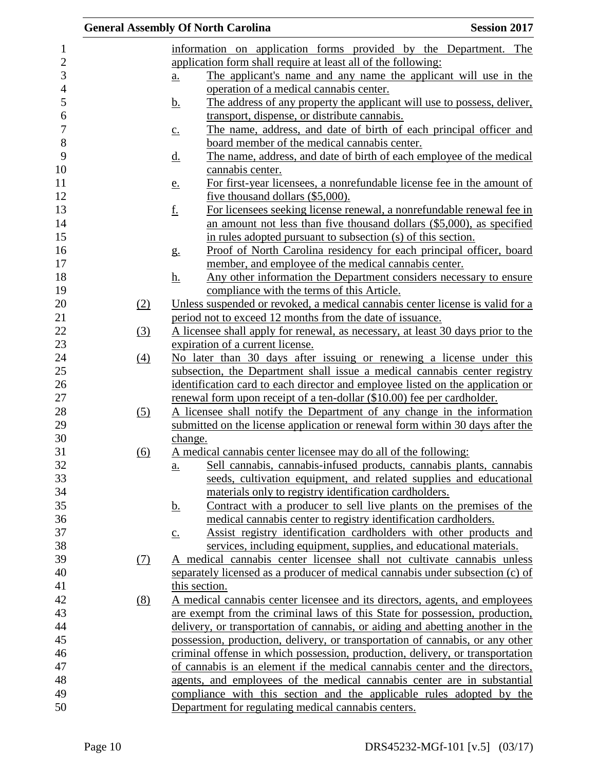|            | <b>General Assembly Of North Carolina</b><br><b>Session 2017</b>                                                                             |  |
|------------|----------------------------------------------------------------------------------------------------------------------------------------------|--|
|            | information on application forms provided by the Department. The                                                                             |  |
|            | application form shall require at least all of the following:                                                                                |  |
|            | The applicant's name and any name the applicant will use in the<br>$\underline{a}$ .                                                         |  |
|            | operation of a medical cannabis center.                                                                                                      |  |
|            | The address of any property the applicant will use to possess, deliver,<br><u>b.</u>                                                         |  |
|            | transport, dispense, or distribute cannabis.                                                                                                 |  |
|            | The name, address, and date of birth of each principal officer and<br>$\underline{c}$ .                                                      |  |
|            | board member of the medical cannabis center.                                                                                                 |  |
|            | The name, address, and date of birth of each employee of the medical<br><u>d.</u>                                                            |  |
|            | cannabis center.                                                                                                                             |  |
|            | For first-year licensees, a nonrefundable license fee in the amount of                                                                       |  |
|            | <u>e.</u><br>five thousand dollars (\$5,000).                                                                                                |  |
|            | <u>f.</u><br>For licensees seeking license renewal, a nonrefundable renewal fee in                                                           |  |
|            | an amount not less than five thousand dollars (\$5,000), as specified                                                                        |  |
|            | in rules adopted pursuant to subsection (s) of this section.                                                                                 |  |
|            | Proof of North Carolina residency for each principal officer, board                                                                          |  |
|            | $g_{\cdot}$<br>member, and employee of the medical cannabis center.                                                                          |  |
|            |                                                                                                                                              |  |
|            | <u>h.</u><br>Any other information the Department considers necessary to ensure                                                              |  |
|            | compliance with the terms of this Article.<br>Unless suspended or revoked, a medical cannabis center license is valid for a                  |  |
| (2)        |                                                                                                                                              |  |
|            | period not to exceed 12 months from the date of issuance.<br>A licensee shall apply for renewal, as necessary, at least 30 days prior to the |  |
| (3)        |                                                                                                                                              |  |
|            | expiration of a current license.                                                                                                             |  |
| (4)        | No later than 30 days after issuing or renewing a license under this                                                                         |  |
|            | subsection, the Department shall issue a medical cannabis center registry                                                                    |  |
|            | identification card to each director and employee listed on the application or                                                               |  |
|            | renewal form upon receipt of a ten-dollar (\$10.00) fee per cardholder.                                                                      |  |
| (5)        | A licensee shall notify the Department of any change in the information                                                                      |  |
|            | submitted on the license application or renewal form within 30 days after the                                                                |  |
|            | change.                                                                                                                                      |  |
| (6)        | A medical cannabis center licensee may do all of the following:                                                                              |  |
|            | Sell cannabis, cannabis-infused products, cannabis plants, cannabis<br>a.                                                                    |  |
|            | seeds, cultivation equipment, and related supplies and educational                                                                           |  |
|            | materials only to registry identification cardholders.                                                                                       |  |
|            | Contract with a producer to sell live plants on the premises of the<br><u>b.</u>                                                             |  |
|            | medical cannabis center to registry identification cardholders.                                                                              |  |
|            | Assist registry identification cardholders with other products and<br>$\underline{c}$ .                                                      |  |
|            | services, including equipment, supplies, and educational materials.                                                                          |  |
| <u>(7)</u> | A medical cannabis center licensee shall not cultivate cannabis unless                                                                       |  |
|            | separately licensed as a producer of medical cannabis under subsection (c) of                                                                |  |
|            | this section.                                                                                                                                |  |
| (8)        | A medical cannabis center licensee and its directors, agents, and employees                                                                  |  |
|            | are exempt from the criminal laws of this State for possession, production,                                                                  |  |
|            | delivery, or transportation of cannabis, or aiding and abetting another in the                                                               |  |
|            | possession, production, delivery, or transportation of cannabis, or any other                                                                |  |
|            | criminal offense in which possession, production, delivery, or transportation                                                                |  |
|            | of cannabis is an element if the medical cannabis center and the directors,                                                                  |  |
|            | agents, and employees of the medical cannabis center are in substantial                                                                      |  |
|            | compliance with this section and the applicable rules adopted by the                                                                         |  |
|            | Department for regulating medical cannabis centers.                                                                                          |  |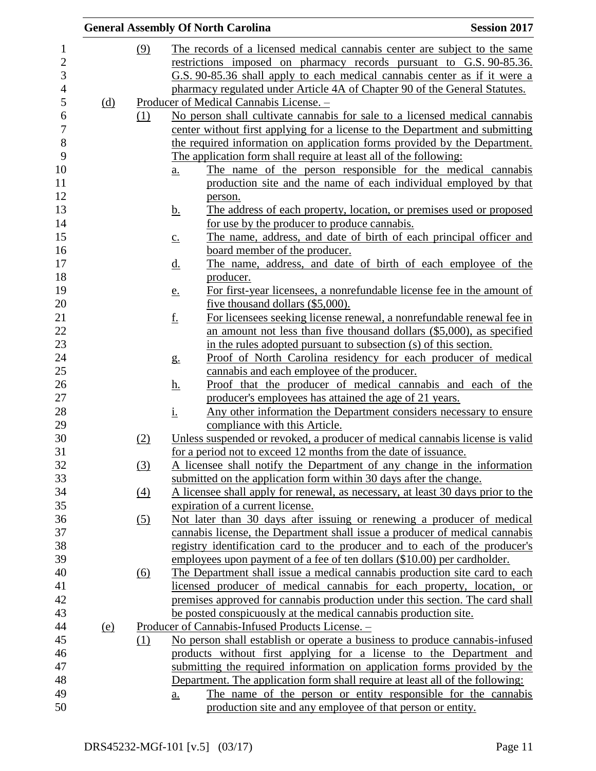|            |     | <b>General Assembly Of North Carolina</b> |                                                                                                                       | <b>Session 2017</b> |
|------------|-----|-------------------------------------------|-----------------------------------------------------------------------------------------------------------------------|---------------------|
|            | (9) |                                           | The records of a licensed medical cannabis center are subject to the same                                             |                     |
|            |     |                                           | restrictions imposed on pharmacy records pursuant to G.S. 90-85.36.                                                   |                     |
|            |     |                                           | G.S. 90-85.36 shall apply to each medical cannabis center as if it were a                                             |                     |
|            |     |                                           | pharmacy regulated under Article 4A of Chapter 90 of the General Statutes.                                            |                     |
| (d)        |     |                                           | Producer of Medical Cannabis License. -                                                                               |                     |
|            | (1) |                                           | No person shall cultivate cannabis for sale to a licensed medical cannabis                                            |                     |
|            |     |                                           | center without first applying for a license to the Department and submitting                                          |                     |
|            |     |                                           | the required information on application forms provided by the Department.                                             |                     |
|            |     |                                           | The application form shall require at least all of the following:                                                     |                     |
|            |     | <u>a.</u>                                 | The name of the person responsible for the medical cannabis                                                           |                     |
|            |     |                                           | production site and the name of each individual employed by that                                                      |                     |
|            |     | person.                                   |                                                                                                                       |                     |
|            |     | <u>b.</u>                                 | The address of each property, location, or premises used or proposed                                                  |                     |
|            |     |                                           | for use by the producer to produce cannabis.                                                                          |                     |
|            |     | $\underline{c}$ .                         | The name, address, and date of birth of each principal officer and                                                    |                     |
|            |     |                                           | board member of the producer.                                                                                         |                     |
|            |     | <u>d.</u>                                 | The name, address, and date of birth of each employee of the                                                          |                     |
|            |     |                                           | producer.                                                                                                             |                     |
|            |     | e.                                        | For first-year licensees, a nonrefundable license fee in the amount of                                                |                     |
|            |     |                                           | five thousand dollars (\$5,000).                                                                                      |                     |
|            |     | <u>f.</u>                                 | For licensees seeking license renewal, a nonrefundable renewal fee in                                                 |                     |
|            |     |                                           | an amount not less than five thousand dollars (\$5,000), as specified                                                 |                     |
|            |     |                                           | in the rules adopted pursuant to subsection (s) of this section.                                                      |                     |
|            |     | g <sub>1</sub>                            | Proof of North Carolina residency for each producer of medical                                                        |                     |
|            |     |                                           | cannabis and each employee of the producer.                                                                           |                     |
|            |     | <u>h.</u>                                 | Proof that the producer of medical cannabis and each of the<br>producer's employees has attained the age of 21 years. |                     |
|            |     | <u>i.</u>                                 | Any other information the Department considers necessary to ensure                                                    |                     |
|            |     |                                           | compliance with this Article.                                                                                         |                     |
|            | (2) |                                           | Unless suspended or revoked, a producer of medical cannabis license is valid                                          |                     |
|            |     |                                           | for a period not to exceed 12 months from the date of issuance.                                                       |                     |
|            | (3) |                                           | A licensee shall notify the Department of any change in the information                                               |                     |
|            |     |                                           | submitted on the application form within 30 days after the change.                                                    |                     |
|            | (4) |                                           | A licensee shall apply for renewal, as necessary, at least 30 days prior to the                                       |                     |
|            |     |                                           | expiration of a current license.                                                                                      |                     |
|            | (5) |                                           | Not later than 30 days after issuing or renewing a producer of medical                                                |                     |
|            |     |                                           | cannabis license, the Department shall issue a producer of medical cannabis                                           |                     |
|            |     |                                           | registry identification card to the producer and to each of the producer's                                            |                     |
|            |     |                                           | employees upon payment of a fee of ten dollars (\$10.00) per cardholder.                                              |                     |
|            | (6) |                                           | The Department shall issue a medical cannabis production site card to each                                            |                     |
|            |     |                                           | licensed producer of medical cannabis for each property, location, or                                                 |                     |
|            |     |                                           | premises approved for cannabis production under this section. The card shall                                          |                     |
|            |     |                                           | be posted conspicuously at the medical cannabis production site.                                                      |                     |
| <u>(e)</u> |     |                                           | Producer of Cannabis-Infused Products License. -                                                                      |                     |
|            | (1) |                                           | No person shall establish or operate a business to produce cannabis-infused                                           |                     |
|            |     |                                           | products without first applying for a license to the Department and                                                   |                     |
|            |     |                                           | submitting the required information on application forms provided by the                                              |                     |
|            |     |                                           | Department. The application form shall require at least all of the following:                                         |                     |
|            |     | a.                                        | The name of the person or entity responsible for the cannabis                                                         |                     |
|            |     |                                           | production site and any employee of that person or entity.                                                            |                     |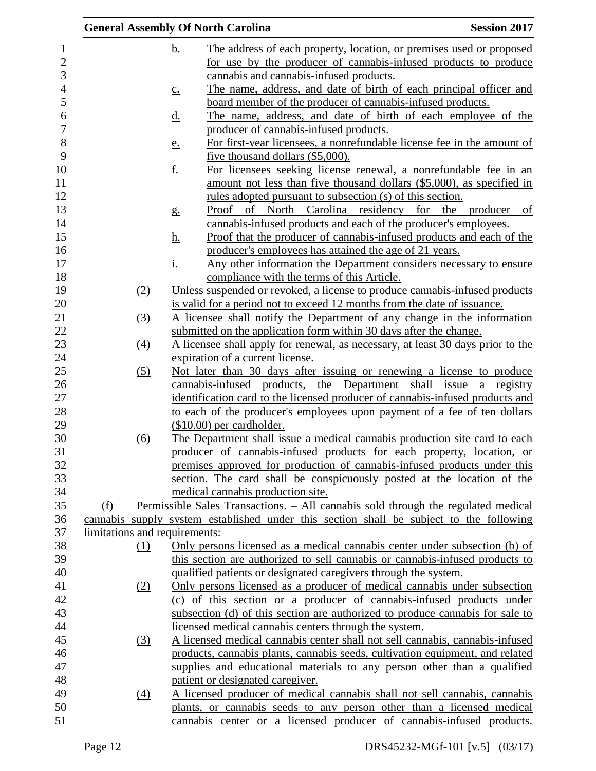|                               | <b>General Assembly Of North Carolina</b>                                                                                                          | <b>Session 2017</b> |
|-------------------------------|----------------------------------------------------------------------------------------------------------------------------------------------------|---------------------|
|                               | <u>b.</u><br>The address of each property, location, or premises used or proposed                                                                  |                     |
|                               | for use by the producer of cannabis-infused products to produce                                                                                    |                     |
|                               | cannabis and cannabis-infused products.                                                                                                            |                     |
|                               | The name, address, and date of birth of each principal officer and<br>$\underline{c}$ .                                                            |                     |
|                               | board member of the producer of cannabis-infused products.                                                                                         |                     |
|                               | The name, address, and date of birth of each employee of the<br><u>d.</u>                                                                          |                     |
|                               | producer of cannabis-infused products.                                                                                                             |                     |
|                               | For first-year licensees, a nonrefundable license fee in the amount of<br><u>e.</u>                                                                |                     |
|                               | five thousand dollars (\$5,000).                                                                                                                   |                     |
|                               | <u>f.</u><br>For licensees seeking license renewal, a nonrefundable fee in an                                                                      |                     |
|                               | amount not less than five thousand dollars (\$5,000), as specified in                                                                              |                     |
|                               | <u>rules</u> adopted pursuant to subsection (s) of this section.                                                                                   |                     |
|                               | Proof of North Carolina residency for the producer of<br>g <sub>1</sub>                                                                            |                     |
|                               | cannabis-infused products and each of the producer's employees.                                                                                    |                     |
|                               | Proof that the producer of cannabis-infused products and each of the<br><u>h.</u>                                                                  |                     |
|                               | producer's employees has attained the age of 21 years.                                                                                             |                     |
|                               | <u>i.</u><br>Any other information the Department considers necessary to ensure                                                                    |                     |
|                               | compliance with the terms of this Article.                                                                                                         |                     |
| (2)                           | Unless suspended or revoked, a license to produce cannabis-infused products                                                                        |                     |
|                               | is valid for a period not to exceed 12 months from the date of issuance.                                                                           |                     |
| (3)                           | A licensee shall notify the Department of any change in the information                                                                            |                     |
|                               | submitted on the application form within 30 days after the change.                                                                                 |                     |
| (4)                           | A licensee shall apply for renewal, as necessary, at least 30 days prior to the                                                                    |                     |
|                               | expiration of a current license.                                                                                                                   |                     |
| (5)                           | Not later than 30 days after issuing or renewing a license to produce                                                                              |                     |
|                               | cannabis-infused products, the Department shall issue a registry                                                                                   |                     |
|                               | identification card to the licensed producer of cannabis-infused products and                                                                      |                     |
|                               | to each of the producer's employees upon payment of a fee of ten dollars                                                                           |                     |
|                               | $($10.00)$ per cardholder.                                                                                                                         |                     |
| (6)                           | The Department shall issue a medical cannabis production site card to each                                                                         |                     |
|                               | producer of cannabis-infused products for each property, location, or                                                                              |                     |
|                               | premises approved for production of cannabis-infused products under this                                                                           |                     |
|                               | section. The card shall be conspicuously posted at the location of the                                                                             |                     |
|                               | medical cannabis production site.                                                                                                                  |                     |
| (f)                           | Permissible Sales Transactions. - All cannabis sold through the regulated medical                                                                  |                     |
|                               | cannabis supply system established under this section shall be subject to the following                                                            |                     |
| limitations and requirements: | Only persons licensed as a medical cannabis center under subsection (b) of                                                                         |                     |
| (1)                           | this section are authorized to sell cannabis or cannabis-infused products to                                                                       |                     |
|                               | qualified patients or designated caregivers through the system.                                                                                    |                     |
| (2)                           | Only persons licensed as a producer of medical cannabis under subsection                                                                           |                     |
|                               | (c) of this section or a producer of cannabis-infused products under                                                                               |                     |
|                               | subsection (d) of this section are authorized to produce cannabis for sale to                                                                      |                     |
|                               | licensed medical cannabis centers through the system.                                                                                              |                     |
| (3)                           | A licensed medical cannabis center shall not sell cannabis, cannabis-infused                                                                       |                     |
|                               | products, cannabis plants, cannabis seeds, cultivation equipment, and related                                                                      |                     |
|                               | supplies and educational materials to any person other than a qualified                                                                            |                     |
|                               |                                                                                                                                                    |                     |
|                               |                                                                                                                                                    |                     |
|                               | patient or designated caregiver.                                                                                                                   |                     |
| (4)                           | A licensed producer of medical cannabis shall not sell cannabis, cannabis<br>plants, or cannabis seeds to any person other than a licensed medical |                     |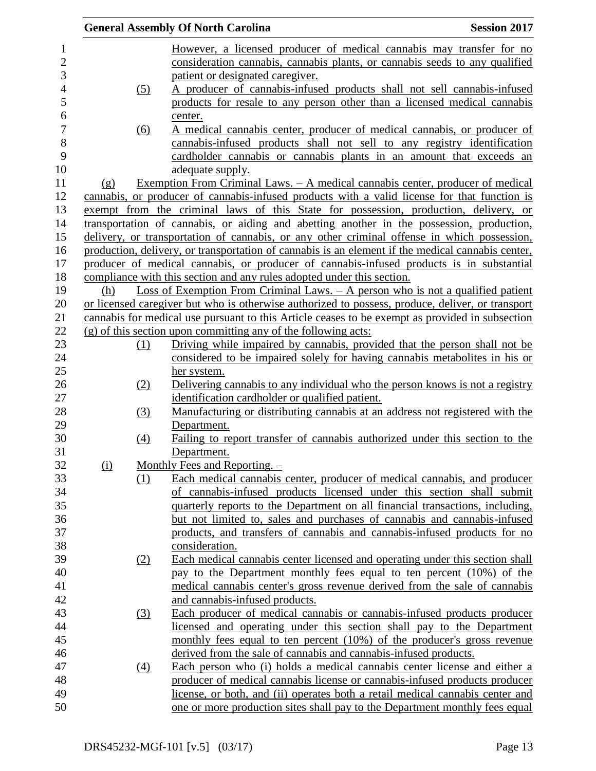|                |          |                  | <b>General Assembly Of North Carolina</b>                                                         | <b>Session 2017</b> |
|----------------|----------|------------------|---------------------------------------------------------------------------------------------------|---------------------|
| 1              |          |                  | However, a licensed producer of medical cannabis may transfer for no                              |                     |
| $\overline{c}$ |          |                  | consideration cannabis, cannabis plants, or cannabis seeds to any qualified                       |                     |
| 3              |          |                  | patient or designated caregiver.                                                                  |                     |
| $\overline{4}$ |          | (5)              | A producer of cannabis-infused products shall not sell cannabis-infused                           |                     |
| 5              |          |                  | products for resale to any person other than a licensed medical cannabis                          |                     |
| 6              |          |                  | center.                                                                                           |                     |
| 7              |          | (6)              | A medical cannabis center, producer of medical cannabis, or producer of                           |                     |
| 8              |          |                  | cannabis-infused products shall not sell to any registry identification                           |                     |
| 9              |          |                  | cardholder cannabis or cannabis plants in an amount that exceeds an                               |                     |
| 10             |          |                  | adequate supply.                                                                                  |                     |
| 11             | $\Omega$ |                  | <u>Exemption From Criminal Laws. – A medical cannabis center, producer of medical</u>             |                     |
| 12             |          |                  | cannabis, or producer of cannabis-infused products with a valid license for that function is      |                     |
| 13             |          |                  | exempt from the criminal laws of this State for possession, production, delivery, or              |                     |
| 14             |          |                  | transportation of cannabis, or aiding and abetting another in the possession, production,         |                     |
| 15             |          |                  | delivery, or transportation of cannabis, or any other criminal offense in which possession,       |                     |
| 16             |          |                  | production, delivery, or transportation of cannabis is an element if the medical cannabis center, |                     |
| 17             |          |                  | producer of medical cannabis, or producer of cannabis-infused products is in substantial          |                     |
| 18             |          |                  | compliance with this section and any rules adopted under this section.                            |                     |
| 19             | (h)      |                  | Loss of Exemption From Criminal Laws. $-$ A person who is not a qualified patient                 |                     |
| 20             |          |                  | or licensed caregiver but who is otherwise authorized to possess, produce, deliver, or transport  |                     |
| 21             |          |                  | cannabis for medical use pursuant to this Article ceases to be exempt as provided in subsection   |                     |
| 22             |          |                  | $(g)$ of this section upon committing any of the following acts:                                  |                     |
| 23             |          | (1)              | Driving while impaired by cannabis, provided that the person shall not be                         |                     |
| 24             |          |                  | considered to be impaired solely for having cannabis metabolities in his or                       |                     |
| 25             |          |                  | her system.                                                                                       |                     |
| 26             |          | (2)              | Delivering cannabis to any individual who the person knows is not a registry                      |                     |
| 27             |          |                  | identification cardholder or qualified patient.                                                   |                     |
| 28             |          | (3)              | Manufacturing or distributing cannabis at an address not registered with the                      |                     |
| 29             |          |                  | Department.                                                                                       |                     |
| 30             |          | (4)              | Failing to report transfer of cannabis authorized under this section to the                       |                     |
| 31             |          |                  | Department.                                                                                       |                     |
| 32             | $\Omega$ |                  | Monthly Fees and Reporting. $-$                                                                   |                     |
| 33             |          | (1)              | Each medical cannabis center, producer of medical cannabis, and producer                          |                     |
| 34             |          |                  | of cannabis-infused products licensed under this section shall submit                             |                     |
| 35             |          |                  | quarterly reports to the Department on all financial transactions, including,                     |                     |
| 36             |          |                  | but not limited to, sales and purchases of cannabis and cannabis-infused                          |                     |
| 37             |          |                  | products, and transfers of cannabis and cannabis-infused products for no                          |                     |
| 38             |          |                  | consideration.                                                                                    |                     |
| 39             |          | (2)              | Each medical cannabis center licensed and operating under this section shall                      |                     |
| 40             |          |                  | pay to the Department monthly fees equal to ten percent (10%) of the                              |                     |
| 41             |          |                  | medical cannabis center's gross revenue derived from the sale of cannabis                         |                     |
| 42             |          |                  | and cannabis-infused products.                                                                    |                     |
| 43             |          | (3)              | Each producer of medical cannabis or cannabis-infused products producer                           |                     |
| 44             |          |                  | licensed and operating under this section shall pay to the Department                             |                     |
| 45             |          |                  | monthly fees equal to ten percent (10%) of the producer's gross revenue                           |                     |
| 46             |          |                  | derived from the sale of cannabis and cannabis-infused products.                                  |                     |
| 47             |          | $\left(4\right)$ | Each person who (i) holds a medical cannabis center license and either a                          |                     |
| 48             |          |                  | producer of medical cannabis license or cannabis-infused products producer                        |                     |
| 49             |          |                  | license, or both, and (ii) operates both a retail medical cannabis center and                     |                     |
| 50             |          |                  | one or more production sites shall pay to the Department monthly fees equal                       |                     |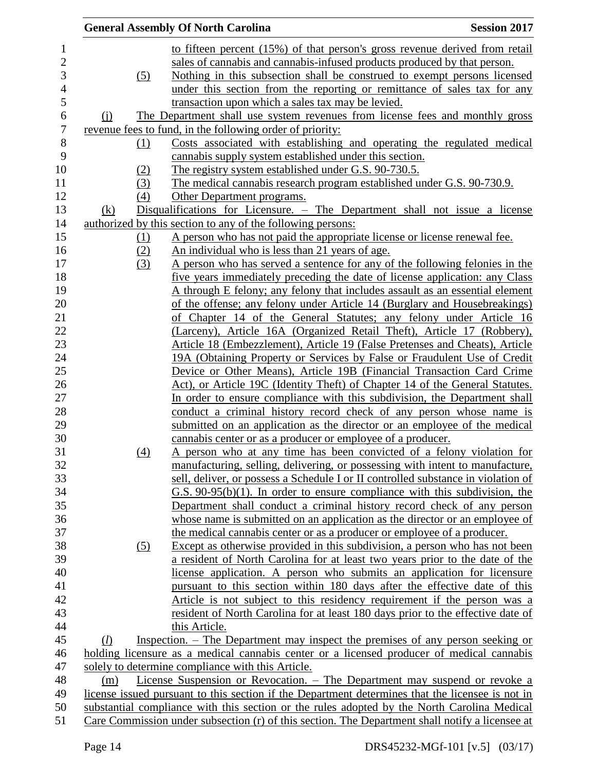| <b>General Assembly Of North Carolina</b> |                                                                                                  | <b>Session 2017</b> |
|-------------------------------------------|--------------------------------------------------------------------------------------------------|---------------------|
|                                           | to fifteen percent (15%) of that person's gross revenue derived from retail                      |                     |
|                                           | sales of cannabis and cannabis-infused products produced by that person.                         |                     |
| (5)                                       | Nothing in this subsection shall be construed to exempt persons licensed                         |                     |
|                                           | under this section from the reporting or remittance of sales tax for any                         |                     |
|                                           | transaction upon which a sales tax may be levied.                                                |                     |
| $\Omega$                                  | The Department shall use system revenues from license fees and monthly gross                     |                     |
|                                           | revenue fees to fund, in the following order of priority:                                        |                     |
| (1)                                       | Costs associated with establishing and operating the regulated medical                           |                     |
|                                           | cannabis supply system established under this section.                                           |                     |
| (2)                                       | The registry system established under G.S. 90-730.5.                                             |                     |
| (3)                                       | The medical cannabis research program established under G.S. 90-730.9.                           |                     |
| (4)                                       | Other Department programs.                                                                       |                     |
| (k)                                       | Disqualifications for Licensure. – The Department shall not issue a license                      |                     |
|                                           | authorized by this section to any of the following persons:                                      |                     |
| <u>(1)</u>                                | A person who has not paid the appropriate license or license renewal fee.                        |                     |
| (2)                                       | An individual who is less than 21 years of age.                                                  |                     |
| (3)                                       | A person who has served a sentence for any of the following felonies in the                      |                     |
|                                           | five years immediately preceding the date of license application: any Class                      |                     |
|                                           | A through E felony; any felony that includes assault as an essential element                     |                     |
|                                           | of the offense; any felony under Article 14 (Burglary and Housebreakings)                        |                     |
|                                           | of Chapter 14 of the General Statutes; any felony under Article 16                               |                     |
|                                           | (Larceny), Article 16A (Organized Retail Theft), Article 17 (Robbery),                           |                     |
|                                           | Article 18 (Embezzlement), Article 19 (False Pretenses and Cheats), Article                      |                     |
|                                           | 19A (Obtaining Property or Services by False or Fraudulent Use of Credit                         |                     |
|                                           | Device or Other Means), Article 19B (Financial Transaction Card Crime                            |                     |
|                                           | Act), or Article 19C (Identity Theft) of Chapter 14 of the General Statutes.                     |                     |
|                                           | In order to ensure compliance with this subdivision, the Department shall                        |                     |
|                                           | conduct a criminal history record check of any person whose name is                              |                     |
|                                           | submitted on an application as the director or an employee of the medical                        |                     |
|                                           | cannabis center or as a producer or employee of a producer.                                      |                     |
| (4)                                       | A person who at any time has been convicted of a felony violation for                            |                     |
|                                           | manufacturing, selling, delivering, or possessing with intent to manufacture,                    |                     |
|                                           | sell, deliver, or possess a Schedule I or II controlled substance in violation of                |                     |
|                                           | $G.S. 90-95(b)(1)$ . In order to ensure compliance with this subdivision, the                    |                     |
|                                           | Department shall conduct a criminal history record check of any person                           |                     |
|                                           | whose name is submitted on an application as the director or an employee of                      |                     |
|                                           | the medical cannabis center or as a producer or employee of a producer.                          |                     |
| (5)                                       | Except as otherwise provided in this subdivision, a person who has not been                      |                     |
|                                           | a resident of North Carolina for at least two years prior to the date of the                     |                     |
|                                           | license application. A person who submits an application for licensure                           |                     |
|                                           | pursuant to this section within 180 days after the effective date of this                        |                     |
|                                           | Article is not subject to this residency requirement if the person was a                         |                     |
|                                           | resident of North Carolina for at least 180 days prior to the effective date of                  |                     |
|                                           | this Article.                                                                                    |                     |
| (l)                                       | Inspection. – The Department may inspect the premises of any person seeking or                   |                     |
|                                           | holding licensure as a medical cannabis center or a licensed producer of medical cannabis        |                     |
|                                           | solely to determine compliance with this Article.                                                |                     |
| (m)                                       | License Suspension or Revocation. - The Department may suspend or revoke a                       |                     |
|                                           | license issued pursuant to this section if the Department determines that the licensee is not in |                     |
|                                           | substantial compliance with this section or the rules adopted by the North Carolina Medical      |                     |
|                                           | Care Commission under subsection (r) of this section. The Department shall notify a licensee at  |                     |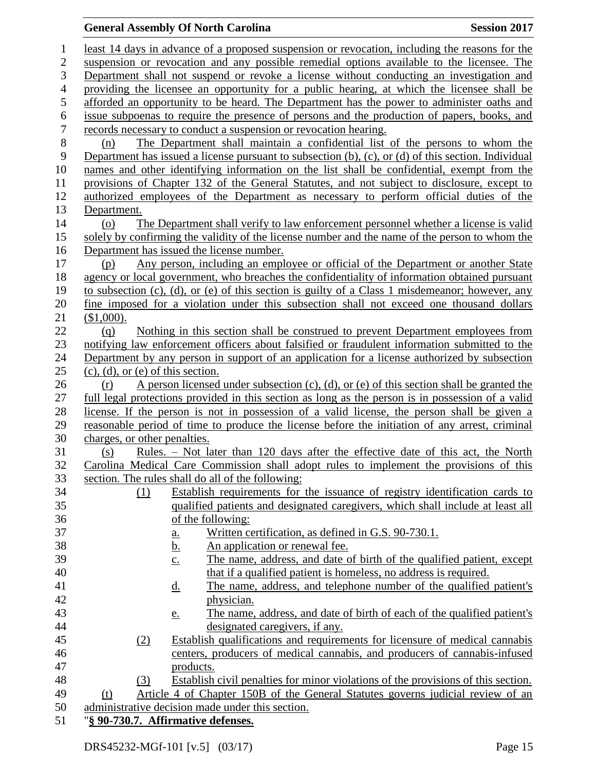# **General Assembly Of North Carolina Session 2017**

| 1                | least 14 days in advance of a proposed suspension or revocation, including the reasons for the                       |  |  |  |
|------------------|----------------------------------------------------------------------------------------------------------------------|--|--|--|
| $\overline{c}$   | suspension or revocation and any possible remedial options available to the licensee. The                            |  |  |  |
| 3                | Department shall not suspend or revoke a license without conducting an investigation and                             |  |  |  |
| $\overline{4}$   | providing the licensee an opportunity for a public hearing, at which the licensee shall be                           |  |  |  |
| 5                | afforded an opportunity to be heard. The Department has the power to administer oaths and                            |  |  |  |
| 6                | issue subpoenas to require the presence of persons and the production of papers, books, and                          |  |  |  |
| $\boldsymbol{7}$ | records necessary to conduct a suspension or revocation hearing.                                                     |  |  |  |
| $8\,$            | The Department shall maintain a confidential list of the persons to whom the<br>(n)                                  |  |  |  |
| 9                | Department has issued a license pursuant to subsection $(b)$ , $(c)$ , or $(d)$ of this section. Individual          |  |  |  |
| 10               | names and other identifying information on the list shall be confidential, exempt from the                           |  |  |  |
| 11               | provisions of Chapter 132 of the General Statutes, and not subject to disclosure, except to                          |  |  |  |
| 12               | authorized employees of the Department as necessary to perform official duties of the                                |  |  |  |
| 13               | Department.                                                                                                          |  |  |  |
| 14               | The Department shall verify to law enforcement personnel whether a license is valid<br>$\circ$                       |  |  |  |
| 15               | solely by confirming the validity of the license number and the name of the person to whom the                       |  |  |  |
| 16               | Department has issued the license number.                                                                            |  |  |  |
| 17               | Any person, including an employee or official of the Department or another State<br>(p)                              |  |  |  |
| 18               | agency or local government, who breaches the confidentiality of information obtained pursuant                        |  |  |  |
| 19               | to subsection (c), (d), or (e) of this section is guilty of a Class 1 misdemeanor; however, any                      |  |  |  |
| 20               | fine imposed for a violation under this subsection shall not exceed one thousand dollars                             |  |  |  |
| 21               | (\$1,000).                                                                                                           |  |  |  |
| 22               | Nothing in this section shall be construed to prevent Department employees from<br>(q)                               |  |  |  |
| 23               | notifying law enforcement officers about falsified or fraudulent information submitted to the                        |  |  |  |
| 24               | Department by any person in support of an application for a license authorized by subsection                         |  |  |  |
| 25               | $(c)$ , $(d)$ , or $(e)$ of this section.                                                                            |  |  |  |
| 26               | A person licensed under subsection (c), (d), or (e) of this section shall be granted the<br>(r)                      |  |  |  |
| 27               | full legal protections provided in this section as long as the person is in possession of a valid                    |  |  |  |
| 28               | license. If the person is not in possession of a valid license, the person shall be given a                          |  |  |  |
| 29               | reasonable period of time to produce the license before the initiation of any arrest, criminal                       |  |  |  |
| 30               | charges, or other penalties.                                                                                         |  |  |  |
| 31               | Rules. – Not later than 120 days after the effective date of this act, the North<br>(s)                              |  |  |  |
| 32               | Carolina Medical Care Commission shall adopt rules to implement the provisions of this                               |  |  |  |
| 33               | section. The rules shall do all of the following:                                                                    |  |  |  |
| 34               | Establish requirements for the issuance of registry identification cards to<br>(1)                                   |  |  |  |
| 35               | qualified patients and designated caregivers, which shall include at least all                                       |  |  |  |
| 36               | of the following:                                                                                                    |  |  |  |
| 37<br>38         | Written certification, as defined in G.S. 90-730.1.<br><u>a.</u>                                                     |  |  |  |
| 39               | An application or renewal fee.<br><u>b.</u><br>The name, address, and date of birth of the qualified patient, except |  |  |  |
| 40               | $\underline{c}$ .<br>that if a qualified patient is homeless, no address is required.                                |  |  |  |
| 41               | The name, address, and telephone number of the qualified patient's                                                   |  |  |  |
| 42               | <u>d.</u><br>physician.                                                                                              |  |  |  |
| 43               | The name, address, and date of birth of each of the qualified patient's                                              |  |  |  |
| 44               | <u>e.</u><br>designated caregivers, if any.                                                                          |  |  |  |
| 45               | Establish qualifications and requirements for licensure of medical cannabis<br>(2)                                   |  |  |  |
| 46               | centers, producers of medical cannabis, and producers of cannabis-infused                                            |  |  |  |
| 47               | products.                                                                                                            |  |  |  |
| 48               | Establish civil penalties for minor violations of the provisions of this section.<br>(3)                             |  |  |  |
| 49               | Article 4 of Chapter 150B of the General Statutes governs judicial review of an<br>(t)                               |  |  |  |
| 50               | administrative decision made under this section.                                                                     |  |  |  |
| 51               | "§ 90-730.7. Affirmative defenses.                                                                                   |  |  |  |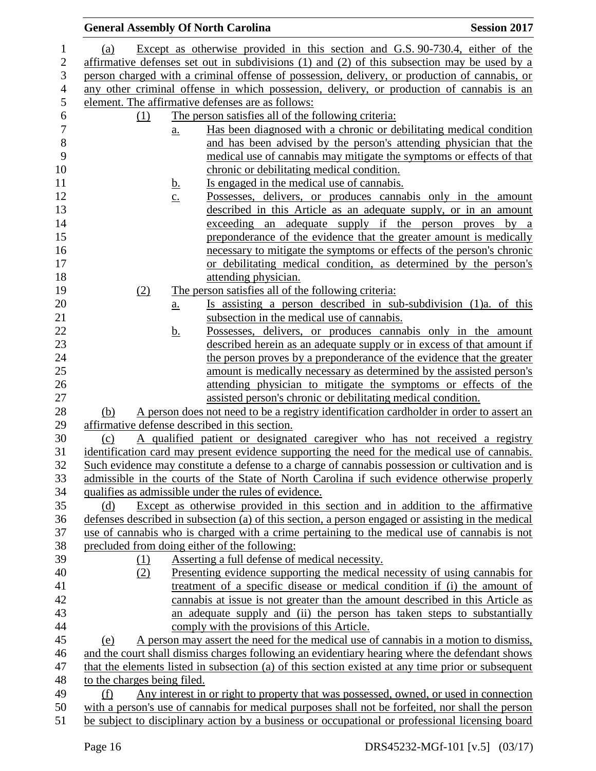|                          |                                                                                                                                                                                                   |                   | <b>General Assembly Of North Carolina</b>                                                                                                                                                            | <b>Session 2017</b>                       |
|--------------------------|---------------------------------------------------------------------------------------------------------------------------------------------------------------------------------------------------|-------------------|------------------------------------------------------------------------------------------------------------------------------------------------------------------------------------------------------|-------------------------------------------|
| $\mathbf{1}$             | <u>(a)</u>                                                                                                                                                                                        |                   | Except as otherwise provided in this section and G.S. 90-730.4, either of the                                                                                                                        |                                           |
| $\mathbf{2}$             |                                                                                                                                                                                                   |                   |                                                                                                                                                                                                      |                                           |
| 3                        | affirmative defenses set out in subdivisions $(1)$ and $(2)$ of this subsection may be used by a<br>person charged with a criminal offense of possession, delivery, or production of cannabis, or |                   |                                                                                                                                                                                                      |                                           |
| $\overline{\mathcal{A}}$ |                                                                                                                                                                                                   |                   | any other criminal offense in which possession, delivery, or production of cannabis is an                                                                                                            |                                           |
| 5                        |                                                                                                                                                                                                   |                   | element. The affirmative defenses are as follows:                                                                                                                                                    |                                           |
| 6                        | (1)                                                                                                                                                                                               |                   | The person satisfies all of the following criteria:                                                                                                                                                  |                                           |
| $\overline{7}$           |                                                                                                                                                                                                   | $\underline{a}$ . | Has been diagnosed with a chronic or debilitating medical condition                                                                                                                                  |                                           |
| $\,8\,$                  |                                                                                                                                                                                                   |                   | and has been advised by the person's attending physician that the                                                                                                                                    |                                           |
| 9                        |                                                                                                                                                                                                   |                   | medical use of cannabis may mitigate the symptoms or effects of that                                                                                                                                 |                                           |
| 10                       |                                                                                                                                                                                                   |                   | chronic or debilitating medical condition.                                                                                                                                                           |                                           |
| 11                       |                                                                                                                                                                                                   | <u>b.</u>         | Is engaged in the medical use of cannabis.                                                                                                                                                           |                                           |
| 12                       |                                                                                                                                                                                                   | $\underline{c}$ . | Possesses, delivers, or produces cannabis only in the amount                                                                                                                                         |                                           |
| 13                       |                                                                                                                                                                                                   |                   | described in this Article as an adequate supply, or in an amount                                                                                                                                     |                                           |
| 14                       |                                                                                                                                                                                                   |                   | exceeding an                                                                                                                                                                                         | adequate supply if the person proves by a |
| 15                       |                                                                                                                                                                                                   |                   | preponderance of the evidence that the greater amount is medically                                                                                                                                   |                                           |
| 16                       |                                                                                                                                                                                                   |                   | necessary to mitigate the symptoms or effects of the person's chronic                                                                                                                                |                                           |
| 17                       |                                                                                                                                                                                                   |                   | or debilitating medical condition, as determined by the person's                                                                                                                                     |                                           |
| 18                       |                                                                                                                                                                                                   |                   | attending physician.                                                                                                                                                                                 |                                           |
| 19                       | (2)                                                                                                                                                                                               |                   | The person satisfies all of the following criteria:                                                                                                                                                  |                                           |
| 20                       |                                                                                                                                                                                                   | a.                | Is assisting a person described in sub-subdivision (1)a. of this                                                                                                                                     |                                           |
| 21                       |                                                                                                                                                                                                   |                   | subsection in the medical use of cannabis.                                                                                                                                                           |                                           |
| 22                       |                                                                                                                                                                                                   | <u>b.</u>         | Possesses, delivers, or produces cannabis only in the amount                                                                                                                                         |                                           |
| 23                       |                                                                                                                                                                                                   |                   | described herein as an adequate supply or in excess of that amount if                                                                                                                                |                                           |
| 24                       |                                                                                                                                                                                                   |                   | the person proves by a preponderance of the evidence that the greater                                                                                                                                |                                           |
| 25                       |                                                                                                                                                                                                   |                   | amount is medically necessary as determined by the assisted person's                                                                                                                                 |                                           |
| 26                       |                                                                                                                                                                                                   |                   | attending physician to mitigate the symptoms or effects of the                                                                                                                                       |                                           |
| 27                       |                                                                                                                                                                                                   |                   | assisted person's chronic or debilitating medical condition.                                                                                                                                         |                                           |
| 28                       | (b)                                                                                                                                                                                               |                   | A person does not need to be a registry identification cardholder in order to assert an                                                                                                              |                                           |
| 29                       |                                                                                                                                                                                                   |                   | affirmative defense described in this section.                                                                                                                                                       |                                           |
| 30                       | (c)                                                                                                                                                                                               |                   | A qualified patient or designated caregiver who has not received a registry                                                                                                                          |                                           |
| 31                       |                                                                                                                                                                                                   |                   | identification card may present evidence supporting the need for the medical use of cannabis.                                                                                                        |                                           |
| 32                       |                                                                                                                                                                                                   |                   | Such evidence may constitute a defense to a charge of cannabis possession or cultivation and is                                                                                                      |                                           |
| 33                       |                                                                                                                                                                                                   |                   | admissible in the courts of the State of North Carolina if such evidence otherwise properly                                                                                                          |                                           |
| 34                       |                                                                                                                                                                                                   |                   | qualifies as admissible under the rules of evidence.                                                                                                                                                 |                                           |
| 35                       | (d)                                                                                                                                                                                               |                   | Except as otherwise provided in this section and in addition to the affirmative                                                                                                                      |                                           |
| 36                       |                                                                                                                                                                                                   |                   | defenses described in subsection (a) of this section, a person engaged or assisting in the medical                                                                                                   |                                           |
| 37                       |                                                                                                                                                                                                   |                   | use of cannabis who is charged with a crime pertaining to the medical use of cannabis is not                                                                                                         |                                           |
| 38                       |                                                                                                                                                                                                   |                   | precluded from doing either of the following:                                                                                                                                                        |                                           |
| 39                       | (1)                                                                                                                                                                                               |                   | Asserting a full defense of medical necessity.                                                                                                                                                       |                                           |
| 40                       | (2)                                                                                                                                                                                               |                   | Presenting evidence supporting the medical necessity of using cannabis for                                                                                                                           |                                           |
| 41                       |                                                                                                                                                                                                   |                   | treatment of a specific disease or medical condition if (i) the amount of                                                                                                                            |                                           |
| 42                       |                                                                                                                                                                                                   |                   | cannabis at issue is not greater than the amount described in this Article as                                                                                                                        |                                           |
| 43                       |                                                                                                                                                                                                   |                   | an adequate supply and (ii) the person has taken steps to substantially                                                                                                                              |                                           |
| 44                       |                                                                                                                                                                                                   |                   | comply with the provisions of this Article.                                                                                                                                                          |                                           |
| 45                       | (e)                                                                                                                                                                                               |                   | A person may assert the need for the medical use of cannabis in a motion to dismiss,                                                                                                                 |                                           |
| 46<br>47                 |                                                                                                                                                                                                   |                   | and the court shall dismiss charges following an evidentiary hearing where the defendant shows<br>that the elements listed in subsection (a) of this section existed at any time prior or subsequent |                                           |
| 48                       | to the charges being filed.                                                                                                                                                                       |                   |                                                                                                                                                                                                      |                                           |
| 49                       | (f)                                                                                                                                                                                               |                   | Any interest in or right to property that was possessed, owned, or used in connection                                                                                                                |                                           |
| 50                       |                                                                                                                                                                                                   |                   | with a person's use of cannabis for medical purposes shall not be forfeited, nor shall the person                                                                                                    |                                           |
| 51                       |                                                                                                                                                                                                   |                   | be subject to disciplinary action by a business or occupational or professional licensing board                                                                                                      |                                           |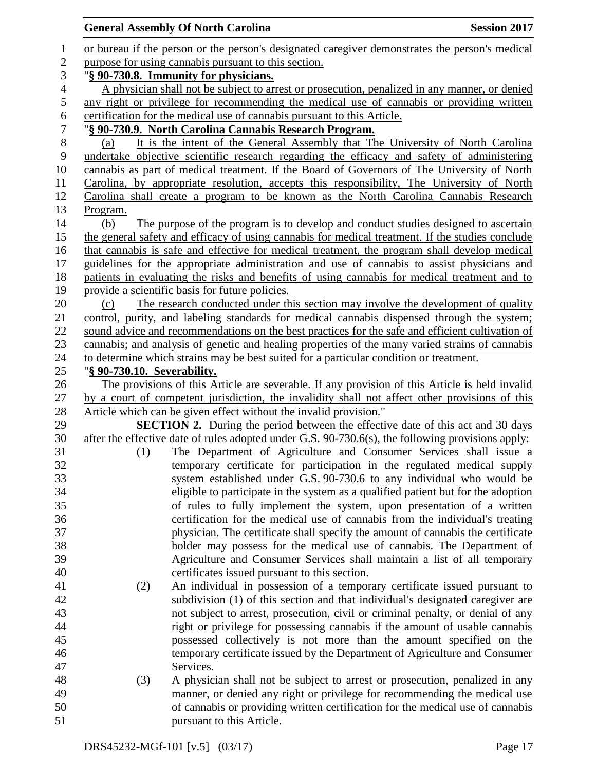|                | <b>General Assembly Of North Carolina</b>            |                                                                                                   | <b>Session 2017</b> |  |
|----------------|------------------------------------------------------|---------------------------------------------------------------------------------------------------|---------------------|--|
| $\mathbf{1}$   |                                                      | or bureau if the person or the person's designated caregiver demonstrates the person's medical    |                     |  |
| $\overline{c}$ | purpose for using cannabis pursuant to this section. |                                                                                                   |                     |  |
| 3              |                                                      | "§ 90-730.8. Immunity for physicians.                                                             |                     |  |
| $\overline{4}$ |                                                      | A physician shall not be subject to arrest or prosecution, penalized in any manner, or denied     |                     |  |
| 5              |                                                      | any right or privilege for recommending the medical use of cannabis or providing written          |                     |  |
| 6              |                                                      | certification for the medical use of cannabis pursuant to this Article.                           |                     |  |
| 7              |                                                      | "§ 90-730.9. North Carolina Cannabis Research Program.                                            |                     |  |
| $8\,$          | (a)                                                  | It is the intent of the General Assembly that The University of North Carolina                    |                     |  |
| 9              |                                                      | undertake objective scientific research regarding the efficacy and safety of administering        |                     |  |
| 10             |                                                      | cannabis as part of medical treatment. If the Board of Governors of The University of North       |                     |  |
| 11             |                                                      | Carolina, by appropriate resolution, accepts this responsibility, The University of North         |                     |  |
| 12             |                                                      | Carolina shall create a program to be known as the North Carolina Cannabis Research               |                     |  |
| 13             | Program.                                             |                                                                                                   |                     |  |
| 14             | (b)                                                  | The purpose of the program is to develop and conduct studies designed to ascertain                |                     |  |
| 15             |                                                      | the general safety and efficacy of using cannabis for medical treatment. If the studies conclude  |                     |  |
| 16             |                                                      | that cannabis is safe and effective for medical treatment, the program shall develop medical      |                     |  |
| 17             |                                                      | guidelines for the appropriate administration and use of cannabis to assist physicians and        |                     |  |
| 18             |                                                      | patients in evaluating the risks and benefits of using cannabis for medical treatment and to      |                     |  |
| 19             |                                                      | provide a scientific basis for future policies.                                                   |                     |  |
| 20             | (c)                                                  | The research conducted under this section may involve the development of quality                  |                     |  |
| 21             |                                                      | control, purity, and labeling standards for medical cannabis dispensed through the system;        |                     |  |
| 22             |                                                      | sound advice and recommendations on the best practices for the safe and efficient cultivation of  |                     |  |
| 23             |                                                      | cannabis; and analysis of genetic and healing properties of the many varied strains of cannabis   |                     |  |
| 24             |                                                      | to determine which strains may be best suited for a particular condition or treatment.            |                     |  |
| 25             | "§ 90-730.10. Severability.                          |                                                                                                   |                     |  |
| 26             |                                                      | The provisions of this Article are severable. If any provision of this Article is held invalid    |                     |  |
| 27             |                                                      | by a court of competent jurisdiction, the invalidity shall not affect other provisions of this    |                     |  |
| 28             |                                                      | Article which can be given effect without the invalid provision."                                 |                     |  |
| 29             |                                                      | <b>SECTION 2.</b> During the period between the effective date of this act and 30 days            |                     |  |
| 30             |                                                      | after the effective date of rules adopted under G.S. 90-730.6(s), the following provisions apply: |                     |  |
| 31             | (1)                                                  | The Department of Agriculture and Consumer Services shall issue a                                 |                     |  |
| 32             |                                                      | temporary certificate for participation in the regulated medical supply                           |                     |  |
| 33             |                                                      | system established under G.S. 90-730.6 to any individual who would be                             |                     |  |
| 34             |                                                      | eligible to participate in the system as a qualified patient but for the adoption                 |                     |  |
| 35             |                                                      | of rules to fully implement the system, upon presentation of a written                            |                     |  |
| 36             |                                                      | certification for the medical use of cannabis from the individual's treating                      |                     |  |
| 37             |                                                      | physician. The certificate shall specify the amount of cannabis the certificate                   |                     |  |
| 38             |                                                      | holder may possess for the medical use of cannabis. The Department of                             |                     |  |
| 39             |                                                      | Agriculture and Consumer Services shall maintain a list of all temporary                          |                     |  |
| 40             |                                                      | certificates issued pursuant to this section.                                                     |                     |  |
| 41             | (2)                                                  | An individual in possession of a temporary certificate issued pursuant to                         |                     |  |
| 42             |                                                      | subdivision (1) of this section and that individual's designated caregiver are                    |                     |  |
| 43             |                                                      | not subject to arrest, prosecution, civil or criminal penalty, or denial of any                   |                     |  |
| 44             |                                                      | right or privilege for possessing cannabis if the amount of usable cannabis                       |                     |  |
| 45             |                                                      | possessed collectively is not more than the amount specified on the                               |                     |  |
| 46             |                                                      | temporary certificate issued by the Department of Agriculture and Consumer                        |                     |  |
| 47             |                                                      | Services.                                                                                         |                     |  |
| 48             | (3)                                                  | A physician shall not be subject to arrest or prosecution, penalized in any                       |                     |  |
| 49             |                                                      | manner, or denied any right or privilege for recommending the medical use                         |                     |  |
| 50             |                                                      | of cannabis or providing written certification for the medical use of cannabis                    |                     |  |
| 51             |                                                      | pursuant to this Article.                                                                         |                     |  |
|                |                                                      |                                                                                                   |                     |  |